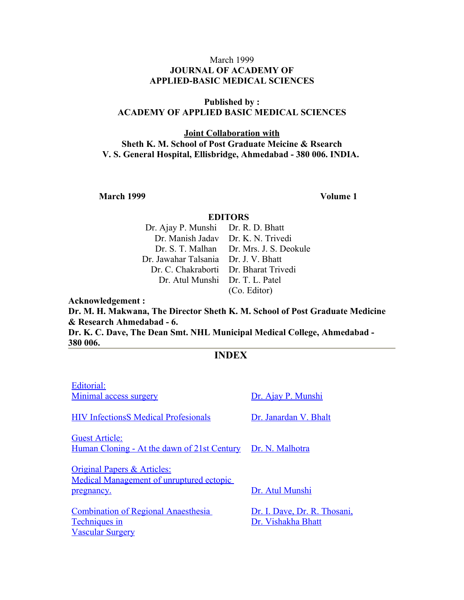#### March 1999 **JOURNAL OF ACADEMY OF APPLIED-BASIC MEDICAL SCIENCES**

#### **Published by : ACADEMY OF APPLIED BASIC MEDICAL SCIENCES**

#### **Joint Collaboration with Sheth K. M. School of Post Graduate Meicine & Rsearch V. S. General Hospital, Ellisbridge, Ahmedabad - 380 006. INDIA.**

**March 1999 Volume 1** 

#### **EDITORS**

| Dr. Ajay P. Munshi Dr. R. D. Bhatt    |                                         |
|---------------------------------------|-----------------------------------------|
| Dr. Manish Jadav Dr. K. N. Trivedi    |                                         |
|                                       | Dr. S. T. Malhan Dr. Mrs. J. S. Deokule |
| Dr. Jawahar Talsania Dr. J. V. Bhatt  |                                         |
| Dr. C. Chakraborti Dr. Bharat Trivedi |                                         |
| Dr. Atul Munshi Dr. T. L. Patel       |                                         |
|                                       | (Co. Editor)                            |

**Acknowledgement : Dr. M. H. Makwana, The Director Sheth K. M. School of Post Graduate Medicine & Research Ahmedabad - 6.**

**Dr. K. C. Dave, The Dean Smt. NHL Municipal Medical College, Ahmedabad - 380 006.**

# **INDEX**

| Editorial:                                                         |                              |
|--------------------------------------------------------------------|------------------------------|
| Minimal access surgery                                             | Dr. Ajay P. Munshi           |
|                                                                    |                              |
| <b>HIV InfectionsS Medical Profesionals</b>                        | Dr. Janardan V. Bhalt        |
| <b>Guest Article:</b>                                              |                              |
| <u>Human Cloning - At the dawn of 21st Century Dr. N. Malhotra</u> |                              |
|                                                                    |                              |
| <b>Original Papers &amp; Articles:</b>                             |                              |
| Medical Management of unruptured ectopic                           |                              |
| pregnancy.                                                         | Dr. Atul Munshi              |
| <b>Combination of Regional Anaesthesia</b>                         | Dr. I. Dave, Dr. R. Thosani, |
| <b>Techniques in</b>                                               | Dr. Vishakha Bhatt           |
| <b>Vascular Surgery</b>                                            |                              |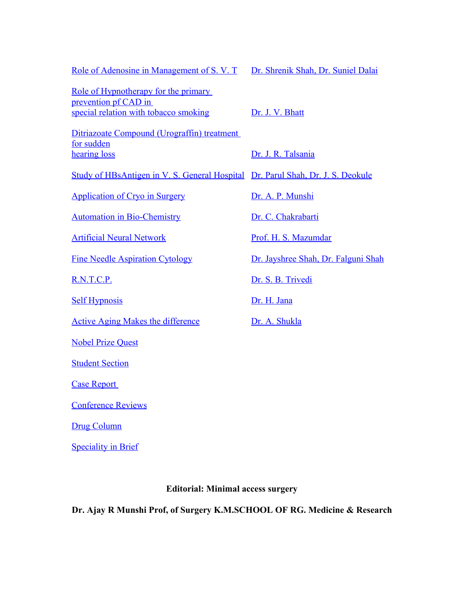| Role of Adenosine in Management of S. V. T                                                            | Dr. Shrenik Shah, Dr. Suniel Dalai  |
|-------------------------------------------------------------------------------------------------------|-------------------------------------|
| Role of Hypnotherapy for the primary<br>prevention pf CAD in<br>special relation with tobacco smoking | Dr. J. V. Bhatt                     |
| Ditriazoate Compound (Urograffin) treatment<br>for sudden<br>hearing loss                             | Dr. J. R. Talsania                  |
| Study of HBsAntigen in V. S. General Hospital Dr. Parul Shah, Dr. J. S. Deokule                       |                                     |
| <b>Application of Cryo in Surgery</b>                                                                 | Dr. A. P. Munshi                    |
| <b>Automation in Bio-Chemistry</b>                                                                    | Dr. C. Chakrabarti                  |
| <b>Artificial Neural Network</b>                                                                      | Prof. H. S. Mazumdar                |
| <b>Fine Needle Aspiration Cytology</b>                                                                | Dr. Jayshree Shah, Dr. Falguni Shah |
| R.N.T.C.P.                                                                                            | Dr. S. B. Trivedi                   |
| <b>Self Hypnosis</b>                                                                                  | Dr. H. Jana                         |
| <b>Active Aging Makes the difference</b>                                                              | Dr. A. Shukla                       |
| <b>Nobel Prize Quest</b>                                                                              |                                     |
| <b>Student Section</b>                                                                                |                                     |
| <b>Case Report</b>                                                                                    |                                     |
| <b>Conference Reviews</b>                                                                             |                                     |
| <b>Drug Column</b>                                                                                    |                                     |
| <b>Speciality in Brief</b>                                                                            |                                     |

# **Editorial: Minimal access surgery**

**Dr. Ajay R Munshi Prof, of Surgery K.M.SCHOOL OF RG. Medicine & Research**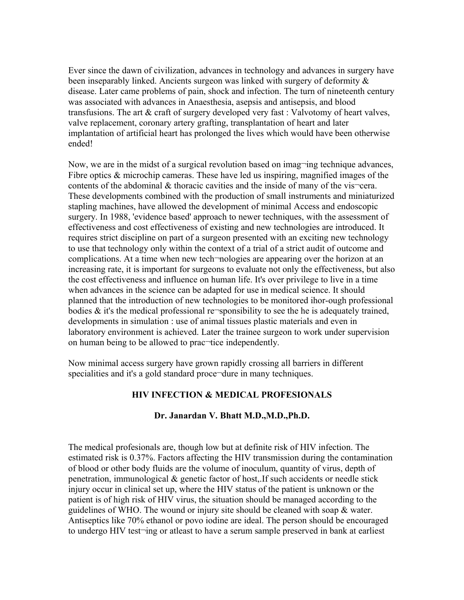Ever since the dawn of civilization, advances in technology and advances in surgery have been inseparably linked. Ancients surgeon was linked with surgery of deformity & disease. Later came problems of pain, shock and infection. The turn of nineteenth century was associated with advances in Anaesthesia, asepsis and antisepsis, and blood transfusions. The art & craft of surgery developed very fast : Valvotomy of heart valves, valve replacement, coronary artery grafting, transplantation of heart and later implantation of artificial heart has prolonged the lives which would have been otherwise ended!

Now, we are in the midst of a surgical revolution based on imag-ing technique advances, Fibre optics  $\&$  microchip cameras. These have led us inspiring, magnified images of the contents of the abdominal  $\&$  thoracic cavities and the inside of many of the vis-cera. These developments combined with the production of small instruments and miniaturized stapling machines, have allowed the development of minimal Access and endoscopic surgery. In 1988, 'evidence based' approach to newer techniques, with the assessment of effectiveness and cost effectiveness of existing and new technologies are introduced. It requires strict discipline on part of a surgeon presented with an exciting new technology to use that technology only within the context of a trial of a strict audit of outcome and complications. At a time when new tech-nologies are appearing over the horizon at an increasing rate, it is important for surgeons to evaluate not only the effectiveness, but also the cost effectiveness and influence on human life. It's over privilege to live in a time when advances in the science can be adapted for use in medical science. It should planned that the introduction of new technologies to be monitored ihor-ough professional bodies  $\&$  it's the medical professional re-sponsibility to see the he is adequately trained, developments in simulation : use of animal tissues plastic materials and even in laboratory environment is achieved. Later the trainee surgeon to work under supervision on human being to be allowed to prac¬tice independently.

Now minimal access surgery have grown rapidly crossing all barriers in different specialities and it's a gold standard proce¬dure in many techniques.

# **HIV INFECTION & MEDICAL PROFESIONALS**

#### **Dr. Janardan V. Bhatt M.D.,M.D.,Ph.D.**

The medical profesionals are, though low but at definite risk of HIV infection. The estimated risk is 0.37%. Factors affecting the HIV transmission during the contamination of blood or other body fluids are the volume of inoculum, quantity of virus, depth of penetration, immunological & genetic factor of host,.If such accidents or needle stick injury occur in clinical set up, where the HIV status of the patient is unknown or the patient is of high risk of HIV virus, the situation should be managed according to the guidelines of WHO. The wound or injury site should be cleaned with soap & water. Antiseptics like 70% ethanol or povo iodine are ideal. The person should be encouraged to undergo HIV test¬ing or atleast to have a serum sample preserved in bank at earliest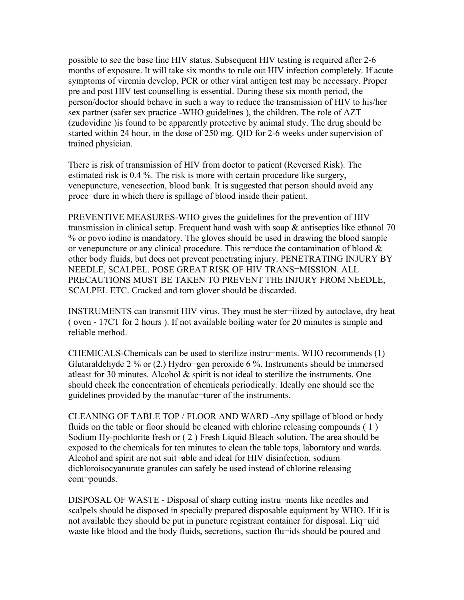possible to see the base line HIV status. Subsequent HIV testing is required after 2-6 months of exposure. It will take six months to rule out HIV infection completely. If acute symptoms of viremia develop, PCR or other viral antigen test may be necessary. Proper pre and post HIV test counselling is essential. During these six month period, the person/doctor should behave in such a way to reduce the transmission of HIV to his/her sex partner (safer sex practice -WHO guidelines ), the children. The role of AZT (zudovidine )is found to be apparently protective by animal study. The drug should be started within 24 hour, in the dose of 250 mg. QID for 2-6 weeks under supervision of trained physician.

There is risk of transmission of HIV from doctor to patient (Reversed Risk). The estimated risk is 0.4 %. The risk is more with certain procedure like surgery, venepuncture, venesection, blood bank. It is suggested that person should avoid any proce¬dure in which there is spillage of blood inside their patient.

PREVENTIVE MEASURES-WHO gives the guidelines for the prevention of HIV transmission in clinical setup. Frequent hand wash with soap  $\&$  antiseptics like ethanol 70 % or povo iodine is mandatory. The gloves should be used in drawing the blood sample or venepuncture or any clinical procedure. This re¬duce the contamination of blood  $\&$ other body fluids, but does not prevent penetrating injury. PENETRATING INJURY BY NEEDLE, SCALPEL. POSE GREAT RISK OF HIV TRANS¬MISSION. ALL PRECAUTIONS MUST BE TAKEN TO PREVENT THE INJURY FROM NEEDLE, SCALPEL ETC. Cracked and torn glover should be discarded.

INSTRUMENTS can transmit HIV virus. They must be ster¬ilized by autoclave, dry heat ( oven - 17CT for 2 hours ). If not available boiling water for 20 minutes is simple and reliable method.

CHEMICALS-Chemicals can be used to sterilize instru¬ments. WHO recommends (1) Glutaraldehyde 2 % or  $(2)$ .) Hydro $\neg$ gen peroxide 6 %. Instruments should be immersed atleast for 30 minutes. Alcohol  $\&$  spirit is not ideal to sterilize the instruments. One should check the concentration of chemicals periodically. Ideally one should see the guidelines provided by the manufac¬turer of the instruments.

CLEANING OF TABLE TOP / FLOOR AND WARD -Any spillage of blood or body fluids on the table or floor should be cleaned with chlorine releasing compounds ( 1 ) Sodium Hy-pochlorite fresh or ( 2 ) Fresh Liquid Bleach solution. The area should be exposed to the chemicals for ten minutes to clean the table tops, laboratory and wards. Alcohol and spirit are not suit¬able and ideal for HIV disinfection, sodium dichloroisocyanurate granules can safely be used instead of chlorine releasing com¬pounds.

DISPOSAL OF WASTE - Disposal of sharp cutting instru-ments like needles and scalpels should be disposed in specially prepared disposable equipment by WHO. If it is not available they should be put in puncture registrant container for disposal. Liq¬uid waste like blood and the body fluids, secretions, suction flu-ids should be poured and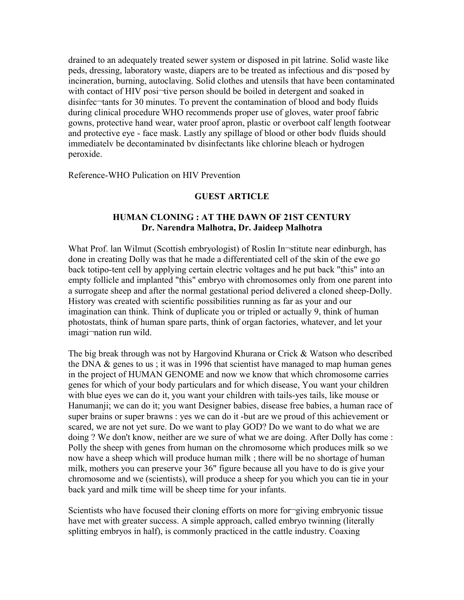drained to an adequately treated sewer system or disposed in pit latrine. Solid waste like peds, dressing, laboratory waste, diapers are to be treated as infectious and dis¬posed by incineration, burning, autoclaving. Solid clothes and utensils that have been contaminated with contact of HIV posi-tive person should be boiled in detergent and soaked in disinfec¬tants for 30 minutes. To prevent the contamination of blood and body fluids during clinical procedure WHO recommends proper use of gloves, water proof fabric gowns, protective hand wear, water proof apron, plastic or overboot calf length footwear and protective eye - face mask. Lastly any spillage of blood or other bodv fluids should immediatelv be decontaminated bv disinfectants like chlorine bleach or hydrogen peroxide.

Reference-WHO Pulication on HIV Prevention

#### **GUEST ARTICLE**

#### **HUMAN CLONING : AT THE DAWN OF 21ST CENTURY Dr. Narendra Malhotra, Dr. Jaideep Malhotra**

What Prof. lan Wilmut (Scottish embryologist) of Roslin In-stitute near edinburgh, has done in creating Dolly was that he made a differentiated cell of the skin of the ewe go back totipo-tent cell by applying certain electric voltages and he put back "this" into an empty follicle and implanted "this" embryo with chromosomes only from one parent into a surrogate sheep and after the normal gestational period delivered a cloned sheep-Dolly. History was created with scientific possibilities running as far as your and our imagination can think. Think of duplicate you or tripled or actually 9, think of human photostats, think of human spare parts, think of organ factories, whatever, and let your imagi¬nation run wild.

The big break through was not by Hargovind Khurana or Crick & Watson who described the DNA  $\&$  genes to us; it was in 1996 that scientist have managed to map human genes in the project of HUMAN GENOME and now we know that which chromosome carries genes for which of your body particulars and for which disease, You want your children with blue eyes we can do it, you want your children with tails-yes tails, like mouse or Hanumanji; we can do it; you want Designer babies, disease free babies, a human race of super brains or super brawns : yes we can do it -but are we proud of this achievement or scared, we are not yet sure. Do we want to play GOD? Do we want to do what we are doing ? We don't know, neither are we sure of what we are doing. After Dolly has come : Polly the sheep with genes from human on the chromosome which produces milk so we now have a sheep which will produce human milk ; there will be no shortage of human milk, mothers you can preserve your 36" figure because all you have to do is give your chromosome and we (scientists), will produce a sheep for you which you can tie in your back yard and milk time will be sheep time for your infants.

Scientists who have focused their cloning efforts on more for¬giving embryonic tissue have met with greater success. A simple approach, called embryo twinning (literally splitting embryos in half), is commonly practiced in the cattle industry. Coaxing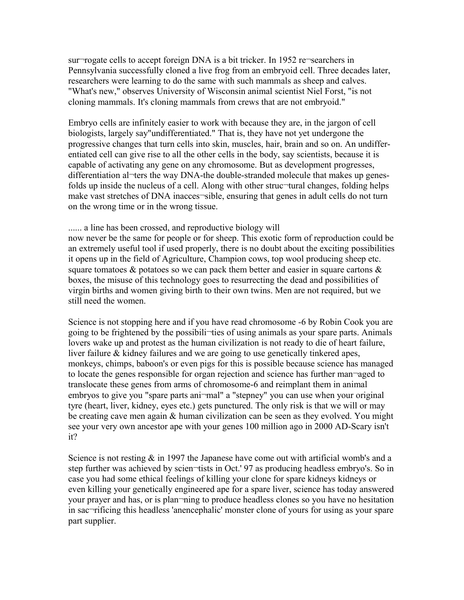sur¬rogate cells to accept foreign DNA is a bit tricker. In 1952 re¬searchers in Pennsylvania successfully cloned a live frog from an embryoid cell. Three decades later, researchers were learning to do the same with such mammals as sheep and calves. "What's new," observes University of Wisconsin animal scientist Niel Forst, "is not cloning mammals. It's cloning mammals from crews that are not embryoid."

Embryo cells are infinitely easier to work with because they are, in the jargon of cell biologists, largely say"undifferentiated." That is, they have not yet undergone the progressive changes that turn cells into skin, muscles, hair, brain and so on. An undifferentiated cell can give rise to all the other cells in the body, say scientists, because it is capable of activating any gene on any chromosome. But as development progresses, differentiation al-ters the way DNA-the double-stranded molecule that makes up genesfolds up inside the nucleus of a cell. Along with other struc-tural changes, folding helps make vast stretches of DNA inacces sible, ensuring that genes in adult cells do not turn on the wrong time or in the wrong tissue.

#### ...... a line has been crossed, and reproductive biology will

now never be the same for people or for sheep. This exotic form of reproduction could be an extremely useful tool if used properly, there is no doubt about the exciting possibilities it opens up in the field of Agriculture, Champion cows, top wool producing sheep etc. square tomatoes  $\&$  potatoes so we can pack them better and easier in square cartons  $\&$ boxes, the misuse of this technology goes to resurrecting the dead and possibilities of virgin births and women giving birth to their own twins. Men are not required, but we still need the women.

Science is not stopping here and if you have read chromosome -6 by Robin Cook you are going to be frightened by the possibili¬ties of using animals as your spare parts. Animals lovers wake up and protest as the human civilization is not ready to die of heart failure, liver failure & kidney failures and we are going to use genetically tinkered apes, monkeys, chimps, baboon's or even pigs for this is possible because science has managed to locate the genes responsible for organ rejection and science has further man¬aged to translocate these genes from arms of chromosome-6 and reimplant them in animal embryos to give you "spare parts ani¬mal" a "stepney" you can use when your original tyre (heart, liver, kidney, eyes etc.) gets punctured. The only risk is that we will or may be creating cave men again & human civilization can be seen as they evolved. You might see your very own ancestor ape with your genes 100 million ago in 2000 AD-Scary isn't it?

Science is not resting  $&$  in 1997 the Japanese have come out with artificial womb's and a step further was achieved by scien-tists in Oct.' 97 as producing headless embryo's. So in case you had some ethical feelings of killing your clone for spare kidneys kidneys or even killing your genetically engineered ape for a spare liver, science has today answered your prayer and has, or is plan¬ning to produce headless clones so you have no hesitation in sac¬rificing this headless 'anencephalic' monster clone of yours for using as your spare part supplier.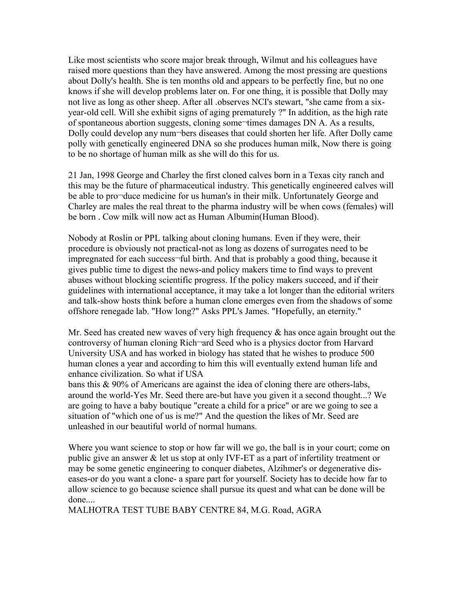Like most scientists who score major break through, Wilmut and his colleagues have raised more questions than they have answered. Among the most pressing are questions about Dolly's health. She is ten months old and appears to be perfectly fine, but no one knows if she will develop problems later on. For one thing, it is possible that Dolly may not live as long as other sheep. After all .observes NCI's stewart, "she came from a sixyear-old cell. Will she exhibit signs of aging prematurely ?" In addition, as the high rate of spontaneous abortion suggests, cloning some-times damages DN A. As a results, Dolly could develop any num¬bers diseases that could shorten her life. After Dolly came polly with genetically engineered DNA so she produces human milk, Now there is going to be no shortage of human milk as she will do this for us.

21 Jan, 1998 George and Charley the first cloned calves born in a Texas city ranch and this may be the future of pharmaceutical industry. This genetically engineered calves will be able to pro¬duce medicine for us human's in their milk. Unfortunately George and Charley are males the real threat to the pharma industry will be when cows (females) will be born . Cow milk will now act as Human Albumin(Human Blood).

Nobody at Roslin or PPL talking about cloning humans. Even if they were, their procedure is obviously not practical-not as long as dozens of surrogates need to be impregnated for each success¬ful birth. And that is probably a good thing, because it gives public time to digest the news-and policy makers time to find ways to prevent abuses without blocking scientific progress. If the policy makers succeed, and if their guidelines with international acceptance, it may take a lot longer than the editorial writers and talk-show hosts think before a human clone emerges even from the shadows of some offshore renegade lab. "How long?" Asks PPL's James. "Hopefully, an eternity."

Mr. Seed has created new waves of very high frequency  $\&$  has once again brought out the controversy of human cloning Rich¬ard Seed who is a physics doctor from Harvard University USA and has worked in biology has stated that he wishes to produce 500 human clones a year and according to him this will eventually extend human life and enhance civilization. So what if USA

bans this & 90% of Americans are against the idea of cloning there are others-labs, around the world-Yes Mr. Seed there are-but have you given it a second thought...? We are going to have a baby boutique "create a child for a price" or are we going to see a situation of "which one of us is me?" And the question the likes of Mr. Seed are unleashed in our beautiful world of normal humans.

Where you want science to stop or how far will we go, the ball is in your court; come on public give an answer & let us stop at only IVF-ET as a part of infertility treatment or may be some genetic engineering to conquer diabetes, Alzihmer's or degenerative diseases-or do you want a clone- a spare part for yourself. Society has to decide how far to allow science to go because science shall pursue its quest and what can be done will be done....

MALHOTRA TEST TUBE BABY CENTRE 84, M.G. Road, AGRA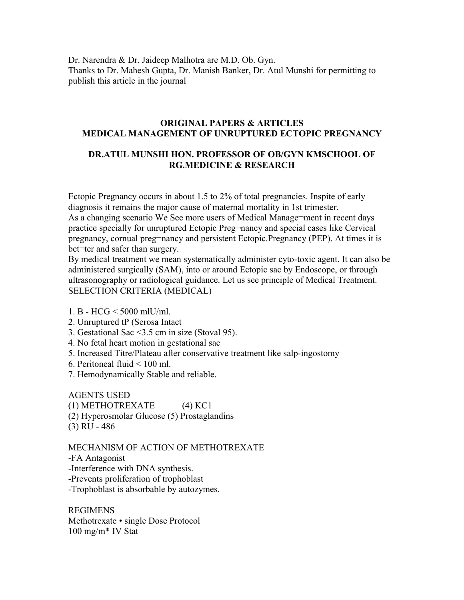Dr. Narendra & Dr. Jaideep Malhotra are M.D. Ob. Gyn. Thanks to Dr. Mahesh Gupta, Dr. Manish Banker, Dr. Atul Munshi for permitting to publish this article in the journal

#### **ORIGINAL PAPERS & ARTICLES MEDICAL MANAGEMENT OF UNRUPTURED ECTOPIC PREGNANCY**

# **DR.ATUL MUNSHI HON. PROFESSOR OF OB/GYN KMSCHOOL OF RG.MEDICINE & RESEARCH**

Ectopic Pregnancy occurs in about 1.5 to 2% of total pregnancies. Inspite of early diagnosis it remains the major cause of maternal mortality in 1st trimester. As a changing scenario We See more users of Medical Manage¬ment in recent days practice specially for unruptured Ectopic Preg¬nancy and special cases like Cervical pregnancy, cornual preg¬nancy and persistent Ectopic.Pregnancy (PEP). At times it is bet¬ter and safer than surgery.

By medical treatment we mean systematically administer cyto-toxic agent. It can also be administered surgically (SAM), into or around Ectopic sac by Endoscope, or through ultrasonography or radiological guidance. Let us see principle of Medical Treatment. SELECTION CRITERIA (MEDICAL)

- 1. B HCG < 5000 mlU/ml.
- 2. Unruptured tP (Serosa Intact
- 3. Gestational Sac <3.5 cm in size (Stoval 95).
- 4. No fetal heart motion in gestational sac
- 5. Increased Titre/Plateau after conservative treatment like salp-ingostomy
- 6. Peritoneal fluid < 100 ml.
- 7. Hemodynamically Stable and reliable.

AGENTS USED (1) METHOTREXATE (4) KC1 (2) Hyperosmolar Glucose (5) Prostaglandins (3) RU - 486

MECHANISM OF ACTION OF METHOTREXATE -FA Antagonist -Interference with DNA synthesis. -Prevents proliferation of trophoblast -Trophoblast is absorbable by autozymes.

REGIMENS Methotrexate • single Dose Protocol 100 mg/m\* IV Stat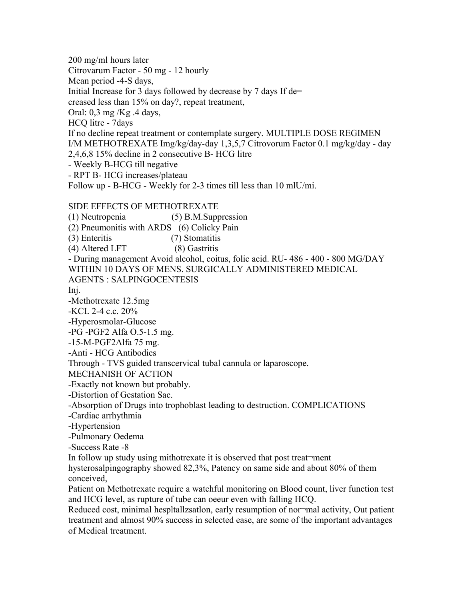200 mg/ml hours later Citrovarum Factor - 50 mg - 12 hourly Mean period -4-S days, Initial Increase for 3 days followed by decrease by 7 days If de= creased less than 15% on day?, repeat treatment, Oral: 0,3 mg /Kg .4 days, HCQ litre - 7days If no decline repeat treatment or contemplate surgery. MULTIPLE DOSE REGIMEN I/M METHOTREXATE Img/kg/day-day 1,3,5,7 Citrovorum Factor 0.1 mg/kg/day - day 2,4,6,8 15% decline in 2 consecutive B- HCG litre - Weekly B-HCG till negative - RPT B- HCG increases/plateau Follow up - B-HCG - Weekly for 2-3 times till less than 10 mlU/mi. SIDE EFFECTS OF METHOTREXATE (1) Neutropenia (5) B.M.Suppression (2) Pneumonitis with ARDS (6) Colicky Pain (3) Enteritis (7) Stomatitis (4) Altered LFT (8) Gastritis - During management Avoid alcohol, coitus, folic acid. RU- 486 - 400 - 800 MG/DAY WITHIN 10 DAYS OF MENS. SURGICALLY ADMINISTERED MEDICAL AGENTS : SALPINGOCENTESIS Inj. -Methotrexate 12.5mg -KCL 2-4 c.c. 20%

-Hyperosmolar-Glucose

-PG -PGF2 Alfa O.5-1.5 mg.

-15-M-PGF2Alfa 75 mg.

-Anti - HCG Antibodies

Through - TVS guided transcervical tubal cannula or laparoscope.

MECHANISH OF ACTION

-Exactly not known but probably.

-Distortion of Gestation Sac.

-Absorption of Drugs into trophoblast leading to destruction. COMPLICATIONS

-Cardiac arrhythmia

-Hypertension

-Pulmonary Oedema

-Success Rate -8

In follow up study using mithotrexate it is observed that post treat¬ment

hysterosalpingography showed 82,3%, Patency on same side and about 80% of them conceived,

Patient on Methotrexate require a watchful monitoring on Blood count, liver function test and HCG level, as rupture of tube can oeeur even with falling HCQ.

Reduced cost, minimal hespltallzsatlon, early resumption of nor-mal activity. Out patient treatment and almost 90% success in selected ease, are some of the important advantages of Medical treatment.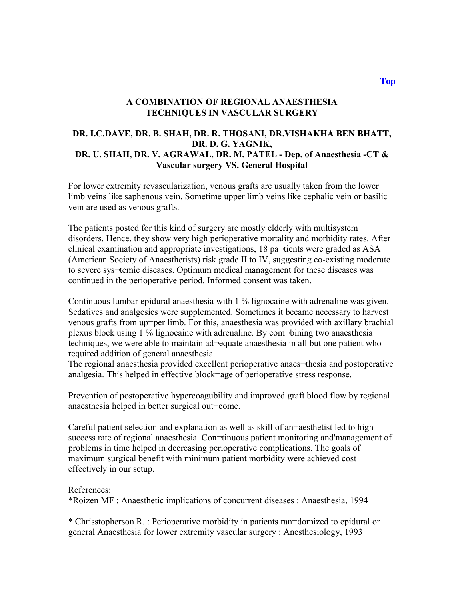#### **A COMBINATION OF REGIONAL ANAESTHESIA TECHNIQUES IN VASCULAR SURGERY**

#### **DR. I.C.DAVE, DR. B. SHAH, DR. R. THOSANI, DR.VISHAKHA BEN BHATT, DR. D. G. YAGNIK, DR. U. SHAH, DR. V. AGRAWAL, DR. M. PATEL - Dep. of Anaesthesia -CT & Vascular surgery VS. General Hospital**

For lower extremity revascularization, venous grafts are usually taken from the lower limb veins like saphenous vein. Sometime upper limb veins like cephalic vein or basilic vein are used as venous grafts.

The patients posted for this kind of surgery are mostly elderly with multisystem disorders. Hence, they show very high perioperative mortality and morbidity rates. After clinical examination and appropriate investigations, 18 pa¬tients were graded as ASA (American Society of Anaesthetists) risk grade II to IV, suggesting co-existing moderate to severe sys¬temic diseases. Optimum medical management for these diseases was continued in the perioperative period. Informed consent was taken.

Continuous lumbar epidural anaesthesia with 1 % lignocaine with adrenaline was given. Sedatives and analgesics were supplemented. Sometimes it became necessary to harvest venous grafts from up¬per limb. For this, anaesthesia was provided with axillary brachial plexus block using 1 % lignocaine with adrenaline. By com¬bining two anaesthesia techniques, we were able to maintain ad¬equate anaesthesia in all but one patient who required addition of general anaesthesia.

The regional anaesthesia provided excellent perioperative anaes-thesia and postoperative analgesia. This helped in effective block¬age of perioperative stress response.

Prevention of postoperative hypercoagubility and improved graft blood flow by regional anaesthesia helped in better surgical out¬come.

Careful patient selection and explanation as well as skill of an¬aesthetist led to high success rate of regional anaesthesia. Con-tinuous patient monitoring and'management of problems in time helped in decreasing perioperative complications. The goals of maximum surgical benefit with minimum patient morbidity were achieved cost effectively in our setup.

#### References:

\*Roizen MF : Anaesthetic implications of concurrent diseases : Anaesthesia, 1994

\* Chrisstopherson R. : Perioperative morbidity in patients ran¬domized to epidural or general Anaesthesia for lower extremity vascular surgery : Anesthesiology, 1993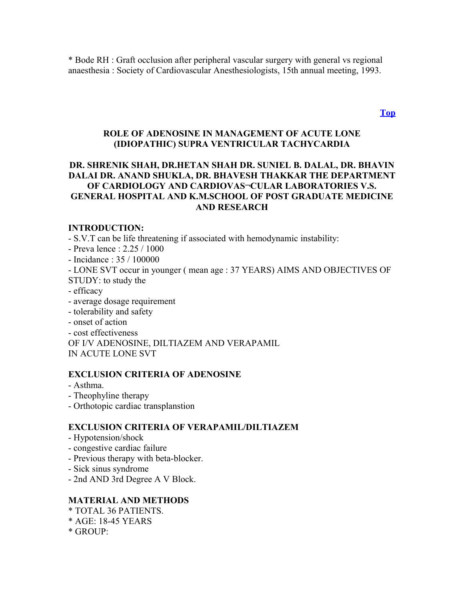\* Bode RH : Graft occlusion after peripheral vascular surgery with general vs regional anaesthesia : Society of Cardiovascular Anesthesiologists, 15th annual meeting, 1993.

**[Top](http://www.nhlmmc.edu.in/combination-regional.htm)**

#### **ROLE OF ADENOSINE IN MANAGEMENT OF ACUTE LONE (IDIOPATHIC) SUPRA VENTRICULAR TACHYCARDIA**

#### **DR. SHRENIK SHAH, DR.HETAN SHAH DR. SUNIEL B. DALAL, DR. BHAVIN DALAI DR. ANAND SHUKLA, DR. BHAVESH THAKKAR THE DEPARTMENT OF CARDIOLOGY AND CARDIOVAS¬CULAR LABORATORIES V.S. GENERAL HOSPITAL AND K.M.SCHOOL OF POST GRADUATE MEDICINE AND RESEARCH**

#### **INTRODUCTION:**

- S.V.T can be life threatening if associated with hemodynamic instability:

- Preva lence : 2.25 / 1000
- Incidance : 35 / 100000
- LONE SVT occur in younger ( mean age : 37 YEARS) AIMS AND OBJECTIVES OF STUDY: to study the
- efficacy
- average dosage requirement
- tolerability and safety
- onset of action
- cost effectiveness
- OF I/V ADENOSINE, DILTIAZEM AND VERAPAMIL

IN ACUTE LONE SVT

#### **EXCLUSION CRITERIA OF ADENOSINE**

- Asthma.
- Theophyline therapy
- Orthotopic cardiac transplanstion

#### **EXCLUSION CRITERIA OF VERAPAMIL/DILTIAZEM**

- Hypotension/shock
- congestive cardiac failure
- Previous therapy with beta-blocker.
- Sick sinus syndrome
- 2nd AND 3rd Degree A V Block.

#### **MATERIAL AND METHODS**

- \* TOTAL 36 PATIENTS.
- \* AGE: 18-45 YEARS
- $*$  GROUP $\cdot$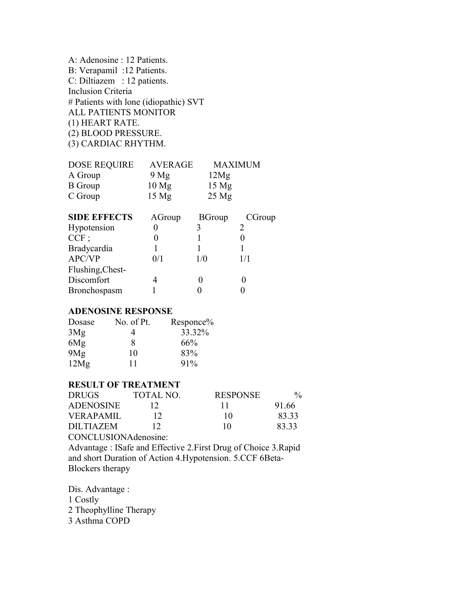A: Adenosine : 12 Patients. B: Verapamil :12 Patients. C: Diltiazem : 12 patients. Inclusion Criteria # Patients with lone (idiopathic) SVT ALL PATIENTS MONITOR (1) HEART RATE. (2) BLOOD PRESSURE. (3) CARDIAC RHYTHM.

| <b>DOSE REQUIRE</b> | <b>AVERAGE</b>   | <b>MAXIMUM</b>  |
|---------------------|------------------|-----------------|
| A Group             | 9 Mg             | 12Mg            |
| <b>B</b> Group      | 10 <sub>mg</sub> | $15 \text{ Mg}$ |
| C Group             | 15 <sub>Mg</sub> | $25$ Mg         |
|                     |                  |                 |

| <b>SIDE EFFECTS</b> | AGroup | <b>BGroup</b> | CGroup |
|---------------------|--------|---------------|--------|
| Hypotension         |        |               |        |
| $CCF$ ;             |        |               |        |
| Bradycardia         |        |               |        |
| APC/VP              | 0/1    | 1/0           | 1/1    |
| Flushing, Chest-    |        |               |        |
| Discomfort          |        |               |        |
| Bronchospasm        |        |               |        |
|                     |        |               |        |

#### **ADENOSINE RESPONSE**

| Dosase | No. of Pt. | Responce% |
|--------|------------|-----------|
| 3Mg    |            | 33.32%    |
| 6Mg    | 8          | 66%       |
| 9Mg    | 10         | 83%       |
| 12Mg   | 11         | 91%       |

# **RESULT OF TREATMENT**

| <b>DRUGS</b>         | TOTAL NO. | <b>RESPONSE</b> | $\frac{0}{0}$ |
|----------------------|-----------|-----------------|---------------|
| <b>ADENOSINE</b>     | 12        |                 | 91.66         |
| <b>VERAPAMIL</b>     | 12        | 10              | 8333          |
| DILTIAZEM            | 12        | 10              | 8333          |
| CONCLUSIONAdenosine: |           |                 |               |

Advantage : ISafe and Effective 2.First Drug of Choice 3.Rapid and short Duration of Action 4.Hypotension. 5.CCF 6Beta-Blockers therapy

Dis. Advantage : 1 Costly

2 Theophylline Therapy

3 Asthma COPD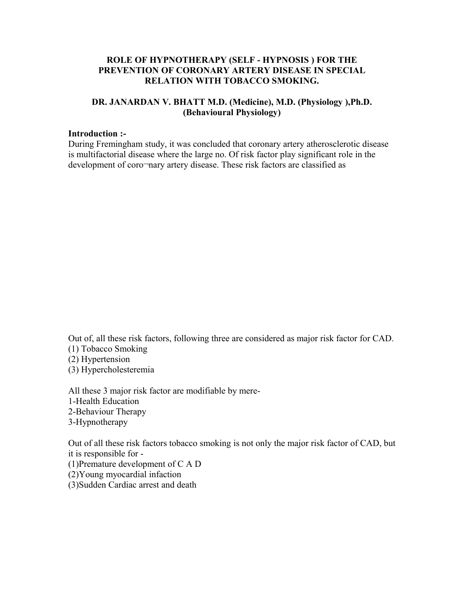#### **ROLE OF HYPNOTHERAPY (SELF - HYPNOSIS ) FOR THE PREVENTION OF CORONARY ARTERY DISEASE IN SPECIAL RELATION WITH TOBACCO SMOKING.**

#### **DR. JANARDAN V. BHATT M.D. (Medicine), M.D. (Physiology ),Ph.D. (Behavioural Physiology)**

#### **Introduction :-**

During Fremingham study, it was concluded that coronary artery atherosclerotic disease is multifactorial disease where the large no. Of risk factor play significant role in the development of coro¬nary artery disease. These risk factors are classified as

Out of, all these risk factors, following three are considered as major risk factor for CAD. (1) Tobacco Smoking

(2) Hypertension

(3) Hypercholesteremia

All these 3 major risk factor are modifiable by mere-1-Health Education 2-Behaviour Therapy 3-Hypnotherapy

Out of all these risk factors tobacco smoking is not only the major risk factor of CAD, but it is responsible for - (1)Premature development of C A D (2)Young myocardial infaction (3)Sudden Cardiac arrest and death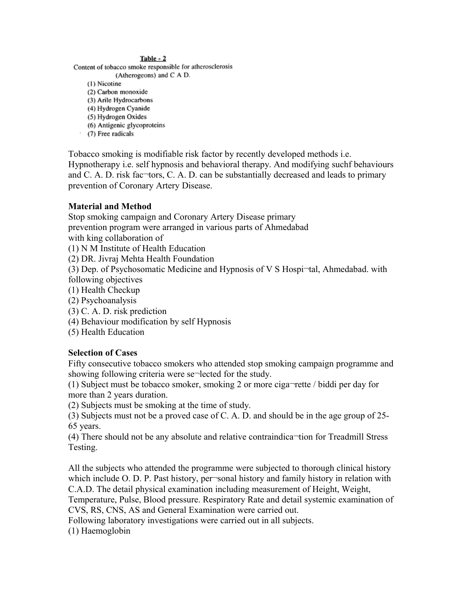#### Table - 2

Content of tobacco smoke responsible for atherosclerosis

(Atherogeons) and C A D.

(1) Nicotine

- (2) Carbon monoxide
- (3) Arile Hydrocarbons (4) Hydrogen Cyanide
- (5) Hydrogen Oxides
- (6) Antigenic glycoproteins
- (7) Free radicals

Tobacco smoking is modifiable risk factor by recently developed methods i.e. Hypnotherapy i.e. self hypnosis and behavioral therapy. And modifying suchf behaviours and C. A. D. risk fac-tors, C. A. D. can be substantially decreased and leads to primary prevention of Coronary Artery Disease.

#### **Material and Method**

Stop smoking campaign and Coronary Artery Disease primary prevention program were arranged in various parts of Ahmedabad with king collaboration of

(1) N M Institute of Health Education

(2) DR. Jivraj Mehta Health Foundation

(3) Dep. of Psychosomatic Medicine and Hypnosis of V S Hospi¬tal, Ahmedabad. with following objectives

- (1) Health Checkup
- (2) Psychoanalysis
- (3) C. A. D. risk prediction
- (4) Behaviour modification by self Hypnosis
- (5) Health Education

#### **Selection of Cases**

Fifty consecutive tobacco smokers who attended stop smoking campaign programme and showing following criteria were se-lected for the study.

(1) Subject must be tobacco smoker, smoking 2 or more ciga¬rette / biddi per day for more than 2 years duration.

(2) Subjects must be smoking at the time of study.

(3) Subjects must not be a proved case of C. A. D. and should be in the age group of 25- 65 years.

(4) There should not be any absolute and relative contraindica¬tion for Treadmill Stress Testing.

All the subjects who attended the programme were subjected to thorough clinical history which include O. D. P. Past history, per-sonal history and family history in relation with C.A.D. The detail physical examination including measurement of Height, Weight,

Temperature, Pulse, Blood pressure. Respiratory Rate and detail systemic examination of CVS, RS, CNS, AS and General Examination were carried out.

Following laboratory investigations were carried out in all subjects.

(1) Haemoglobin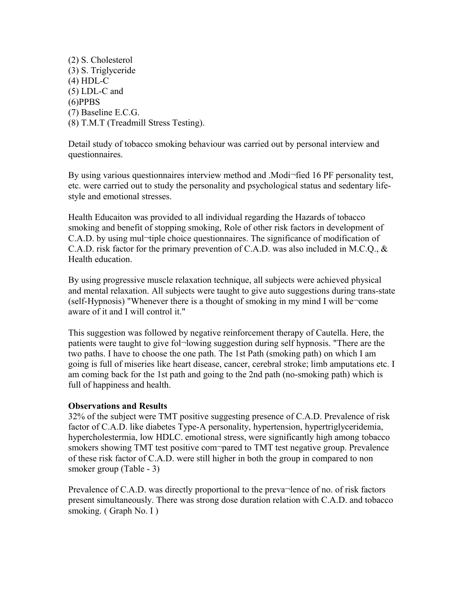(2) S. Cholesterol (3) S. Triglyceride (4) HDL-C (5) LDL-C and (6)PPBS (7) Baseline E.C.G. (8) T.M.T (Treadmill Stress Testing).

Detail study of tobacco smoking behaviour was carried out by personal interview and questionnaires.

By using various questionnaires interview method and .Modi-fied 16 PF personality test, etc. were carried out to study the personality and psychological status and sedentary lifestyle and emotional stresses.

Health Educaiton was provided to all individual regarding the Hazards of tobacco smoking and benefit of stopping smoking, Role of other risk factors in development of C.A.D. by using mul¬tiple choice questionnaires. The significance of modification of C.A.D. risk factor for the primary prevention of C.A.D. was also included in M.C.Q., & Health education.

By using progressive muscle relaxation technique, all subjects were achieved physical and mental relaxation. All subjects were taught to give auto suggestions during trans-state (self-Hypnosis) "Whenever there is a thought of smoking in my mind I will be¬come aware of it and I will control it."

This suggestion was followed by negative reinforcement therapy of Cautella. Here, the patients were taught to give fol¬lowing suggestion during self hypnosis. "There are the two paths. I have to choose the one path. The 1st Path (smoking path) on which I am going is full of miseries like heart disease, cancer, cerebral stroke; limb amputations etc. I am coming back for the 1st path and going to the 2nd path (no-smoking path) which is full of happiness and health.

#### **Observations and Results**

32% of the subject were TMT positive suggesting presence of C.A.D. Prevalence of risk factor of C.A.D. like diabetes Type-A personality, hypertension, hypertriglyceridemia, hypercholestermia, low HDLC. emotional stress, were significantly high among tobacco smokers showing TMT test positive compared to TMT test negative group. Prevalence of these risk factor of C.A.D. were still higher in both the group in compared to non smoker group (Table - 3)

Prevalence of C.A.D. was directly proportional to the preva¬lence of no. of risk factors present simultaneously. There was strong dose duration relation with C.A.D. and tobacco smoking. (Graph No. I)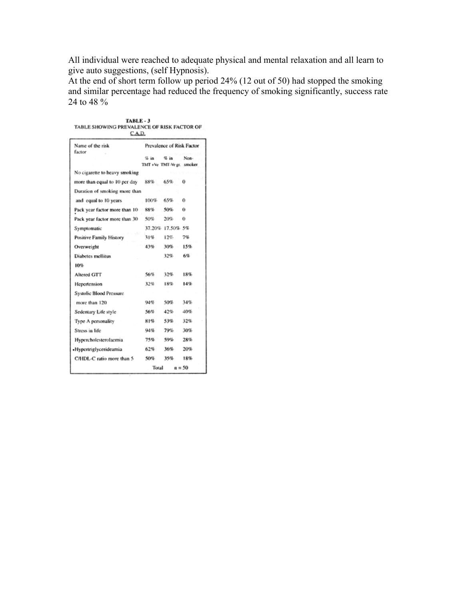All individual were reached to adequate physical and mental relaxation and all learn to give auto suggestions, (self Hypnosis).

At the end of short term follow up period 24% (12 out of 50) had stopped the smoking and similar percentage had reduced the frequency of smoking significantly, success rate 24 to 48 %

| TABLE SHOWING PREVALENCE OP RISK PACTOR OP<br>C.A.D. |                                      |                  |                           |
|------------------------------------------------------|--------------------------------------|------------------|---------------------------|
| Name of the risk<br>factor                           |                                      |                  | Prevalence of Risk Factor |
|                                                      | $Qn$ im<br>TMT +Ve TMT-Ve gr. smoker | ⊈ in             | Non-                      |
| No cigarette to heavy smoking                        |                                      |                  |                           |
| more than equal to 10 per day                        | 88%                                  | 65%              | 0                         |
| Duration of smoking more than                        |                                      |                  |                           |
| and equal to 10 years                                | 100%                                 | 65%              | 0                         |
| Pack year factor more than 10                        | 88%                                  | 50%              | 0                         |
| Pack year factor more than 30                        | 5055                                 | 20%              | 0                         |
| Symptomatic                                          |                                      | 37.20% 17.50% 5% |                           |
| Positive Family History                              | 31%                                  | 12%              | 7%                        |
| Overweight                                           | 43%                                  | 30%              | 15%                       |
| Diabetes mellitus                                    |                                      | 32%              | 65.                       |
| 10%                                                  |                                      |                  |                           |
| Altered GTT                                          | 56%                                  | 32%              | 18%                       |
| Hepertension                                         | 32%                                  | 18%              | 14%                       |
| <b>Systolic Blood Pressure</b>                       |                                      |                  |                           |
| more than 120                                        | 94%                                  | 5095             | 34%                       |
| Sedentary Life style                                 | 56%                                  | 42%              | 40%                       |
| Type A personality                                   | 81%                                  | 53%              | 32%                       |
| Stress in life                                       | 94%                                  | 79%              | 30%                       |
| Hypercholesterolaemia                                | 75%                                  | 59%              | 28%                       |
| «Hypertriglycerideamia                               | 62%                                  | 36%              | 20%                       |
| C/HDL-C ratio more than 5                            | 50%                                  | 35%              | 18%                       |
|                                                      | Total                                |                  | $n = 50$                  |

TABLE - 3<br>TABLE SHOWING BREVAL ENGE OF BISK EACTOR OF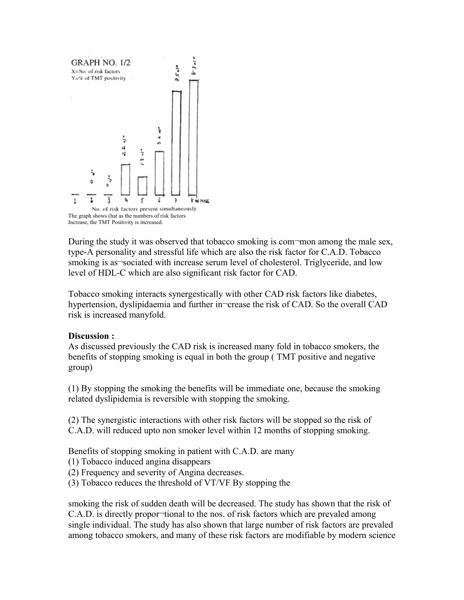

During the study it was observed that tobacco smoking is com-mon among the male sex, type-A personality and stressful life which are also the risk factor for C.A.D. Tobacco smoking is as sociated with increase serum level of cholesterol. Triglyceride, and low level of HDL-C which are also significant risk factor for CAD.

Tobacco smoking interacts synergestically with other CAD risk factors like diabetes, hypertension, dyslipidaemia and further in¬crease the risk of CAD. So the overall CAD risk is increased manyfold.

#### **Discussion :**

As discussed previously the CAD risk is increased many fold in tobacco smokers, the benefits of stopping smoking is equal in both the group ( TMT positive and negative group)

(1) By stopping the smoking the benefits will be immediate one, because the smoking related dyslipidemia is reversible with stopping the smoking.

(2) The synergistic interactions with other risk factors will be stopped so the risk of C.A.D. will reduced upto non smoker level within 12 months of stopping smoking.

Benefits of stopping smoking in patient with C.A.D. are many

- (1) Tobacco induced angina disappears
- (2) Frequency and severity of Angina decreases.
- (3) Tobacco reduces the threshold of VT/VF By stopping the

smoking the risk of sudden death will be decreased. The study has shown that the risk of C.A.D. is directly propor-tional to the nos. of risk factors which are prevaled among single individual. The study has also shown that large number of risk factors are prevaled among tobacco smokers, and many of these risk factors are modifiable by modern science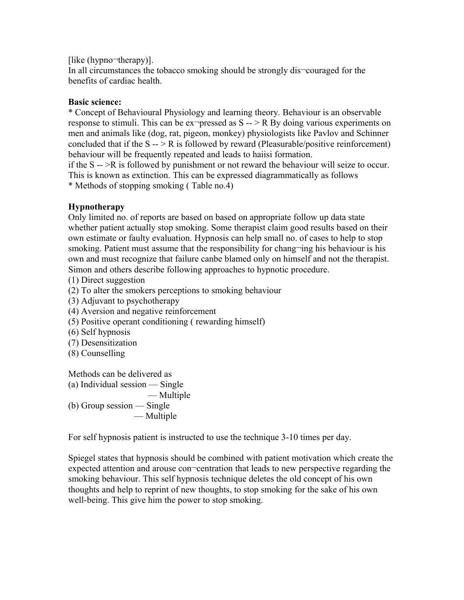[like (hypno¬therapy)].

In all circumstances the tobacco smoking should be strongly dis¬couraged for the benefits of cardiac health.

# **Basic science:**

\* Concept of Behavioural Physiology and learning theory. Behaviour is an observable response to stimuli. This can be ex-pressed as  $S \rightarrow \mathbb{R}$  By doing various experiments on men and animals like (dog, rat, pigeon, monkey) physiologists like Pavlov and Schinner concluded that if the  $S \rightarrow \mathbb{R}$  is followed by reward (Pleasurable/positive reinforcement) behaviour will be frequently repeated and leads to haiisi formation.

if the S -- >R is followed by punishment or not reward the behaviour will seize to occur. This is known as extinction. This can be expressed diagrammatically as follows \* Methods of stopping smoking ( Table no.4)

# **Hypnotherapy**

Only limited no. of reports are based on based on appropriate follow up data state whether patient actually stop smoking. Some therapist claim good results based on their own estimate or faulty evaluation. Hypnosis can help small no. of cases to help to stop smoking. Patient must assume that the responsibility for chang-ing his behaviour is his own and must recognize that failure canbe blamed only on himself and not the therapist. Simon and others describe following approaches to hypnotic procedure.

- (1) Direct suggestion
- (2) To alter the smokers perceptions to smoking behaviour
- (3) Adjuvant to psychotherapy
- (4) Aversion and negative reinforcement
- (5) Positive operant conditioning ( rewarding himself)
- (6) Self hypnosis
- (7) Desensitization
- (8) Counselling

Methods can be delivered as

(a) Individual session — Single

— Multiple

(b) Group session — Single — Multiple

For self hypnosis patient is instructed to use the technique 3-10 times per day.

Spiegel states that hypnosis should be combined with patient motivation which create the expected attention and arouse con¬centration that leads to new perspective regarding the smoking behaviour. This self hypnosis technique deletes the old concept of his own thoughts and help to reprint of new thoughts, to stop smoking for the sake of his own well-being. This give him the power to stop smoking.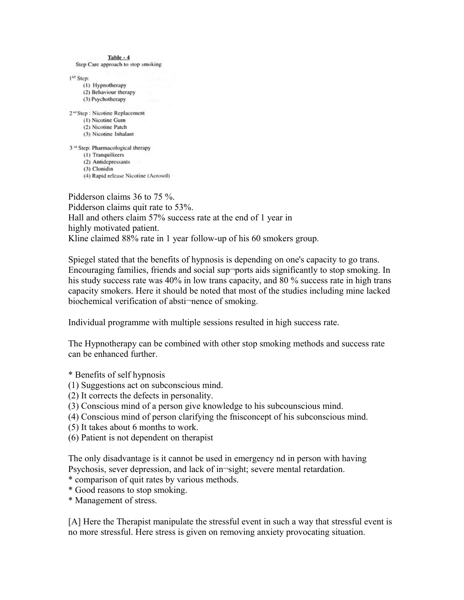| Table - 4                                            |  |
|------------------------------------------------------|--|
| Step Care approach to stop smoking                   |  |
| 1 <sup>st</sup> Step:                                |  |
| (1) Hypnotherapy                                     |  |
| (2) Behaviour therapy                                |  |
| (3) Psychotherapy                                    |  |
| 2 <sup>nd</sup> Step : Nicotine Replacement          |  |
| (1) Nicotine Gum                                     |  |
| (2) Nicotine Patch                                   |  |
| (3) Nicotine Inhalant                                |  |
| 3 <sup><i>ta</i></sup> Step: Pharmacological therapy |  |
| (1) Tranquilizers                                    |  |
| (2) Antidepressants                                  |  |
| (3) Clonidin                                         |  |
| (4) Rapid release Nicotine (Aerosol)                 |  |

Pidderson claims 36 to 75 %. Pidderson claims quit rate to 53%. Hall and others claim 57% success rate at the end of 1 year in highly motivated patient. Kline claimed 88% rate in 1 year follow-up of his 60 smokers group.

Spiegel stated that the benefits of hypnosis is depending on one's capacity to go trans. Encouraging families, friends and social sup-ports aids significantly to stop smoking. In his study success rate was 40% in low trans capacity, and 80 % success rate in high trans capacity smokers. Here it should be noted that most of the studies including mine lacked biochemical verification of absti-nence of smoking.

Individual programme with multiple sessions resulted in high success rate.

The Hypnotherapy can be combined with other stop smoking methods and success rate can be enhanced further.

\* Benefits of self hypnosis

- (1) Suggestions act on subconscious mind.
- (2) It corrects the defects in personality.
- (3) Conscious mind of a person give knowledge to his subcounscious mind.
- (4) Conscious mind of person clarifying the fnisconcept of his subconscious mind.
- (5) It takes about 6 months to work.
- (6) Patient is not dependent on therapist

The only disadvantage is it cannot be used in emergency nd in person with having Psychosis, sever depression, and lack of in¬sight; severe mental retardation.

- \* comparison of quit rates by various methods.
- \* Good reasons to stop smoking.
- \* Management of stress.

[A] Here the Therapist manipulate the stressful event in such a way that stressful event is no more stressful. Here stress is given on removing anxiety provocating situation.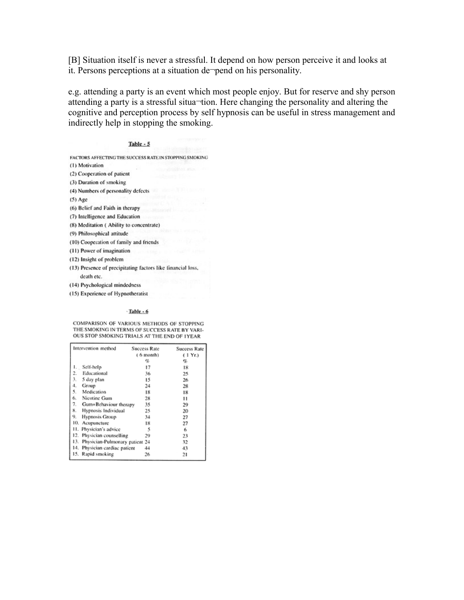[B] Situation itself is never a stressful. It depend on how person perceive it and looks at it. Persons perceptions at a situation de¬pend on his personality.

e.g. attending a party is an event which most people enjoy. But for reserve and shy person attending a party is a stressful situa¬tion. Here changing the personality and altering the cognitive and perception process by self hypnosis can be useful in stress management and indirectly help in stopping the smoking.

#### Table - 5

FACTORS AFFECTING THE SUCCESS RATE IN STOPPING SMOKING

- (1) Motivation
- (2) Cooperation of patient
- (3) Duration of smoking
- (4) Numbers of personality defects
- $(5)$  Age
- (6) Belief and Faith in therapy
- (7) Intelligence and Education
- (8) Meditation (Ability to concentrate)
- (9) Philosophical attitude
- (10) Cooperation of family and friends
- (11) Power of imagination
- (12) Insight of problem
- (13) Presence of precipitating factors like financial loss, death etc.
- (14) Psychological mindedness
- (15) Experience of Hypnotheratist

#### $\cdot$ Table - 6

COMPARISON OF VARIOUS METHODS OF STOPPING THE SMOKING IN TERMS OF SUCCESS RATE BY VARI-OUS STOP SMOKING TRIALS AT THE END OF 1YEAR

| Intervention method                   | <b>Success Rate</b> | Success Rate |
|---------------------------------------|---------------------|--------------|
|                                       | $(6$ month)         | (1 Yr.)      |
|                                       | s.                  | s.           |
| 1. Self-help                          | 17                  | 18           |
| Educational<br>2.                     | 36                  | 25           |
| 3.<br>5 day plan                      | 15                  | 26           |
| 4.<br>Group                           | 24                  | 28           |
| 5.<br>Medication                      | 18                  | 18           |
| 6.<br>Nicotine Gum                    | 28                  | 11           |
| 7.<br>Gum+Behaviour therapy           | 35                  | 29           |
| 8.<br>Hypnosis Individual             | 25                  | 20           |
| 9.<br><b>Hypnosis Group</b>           | 34                  | 27           |
| 10.<br>Acupuncture                    | 18                  | 27           |
| Physician's advice<br>11.             | 5                   | 6            |
| 12.<br>Physician counselling          | 29                  | 23           |
| 13.<br>Physician-Pulmonary patient 24 |                     | 32           |
| Physician cardiac patient<br>14.      | 44                  | 43           |
| Rapid smoking<br>15.                  | 26                  | 21           |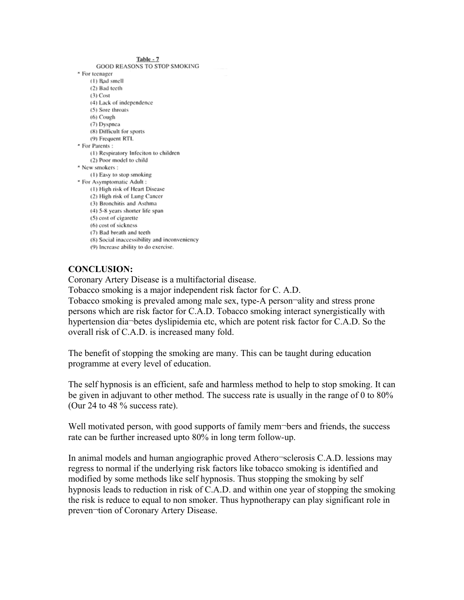Table - 7

GOOD REASONS TO STOP SMOKING \* For teenager (1) Bad smell (2) Bad teeth  $(3)$  Cost (4) Lack of independence (5) Sore throats  $(6)$  Cough (7) Dyspnea (8) Difficult for sports (9) Frequent RTI. \* For Parents: (1) Respiratory Infeciton to children (2) Poor model to child \* New smokers: (1) Easy to stop smoking \* For Asymptomatic Adult : (1) High risk of Heart Disease (2) High risk of Lung Cancer (3) Bronchitis and Asthma (4) 5-8 years shorter life span (5) cost of cigarette (6) cost of sickness (7) Bad breath and teeth (8) Social inaccessibility and inconveniency (9) Increase ability to do exercise.

# **CONCLUSION:**

Coronary Artery Disease is a multifactorial disease.

Tobacco smoking is a major independent risk factor for C. A.D.

Tobacco smoking is prevaled among male sex, type-A person¬ality and stress prone persons which are risk factor for C.A.D. Tobacco smoking interact synergistically with hypertension dia¬betes dyslipidemia etc, which are potent risk factor for C.A.D. So the overall risk of C.A.D. is increased many fold.

The benefit of stopping the smoking are many. This can be taught during education programme at every level of education.

The self hypnosis is an efficient, safe and harmless method to help to stop smoking. It can be given in adjuvant to other method. The success rate is usually in the range of 0 to 80% (Our 24 to 48 % success rate).

Well motivated person, with good supports of family mem-bers and friends, the success rate can be further increased upto 80% in long term follow-up.

In animal models and human angiographic proved Athero¬sclerosis C.A.D. lessions may regress to normal if the underlying risk factors like tobacco smoking is identified and modified by some methods like self hypnosis. Thus stopping the smoking by self hypnosis leads to reduction in risk of C.A.D. and within one year of stopping the smoking the risk is reduce to equal to non smoker. Thus hypnotherapy can play significant role in preven¬tion of Coronary Artery Disease.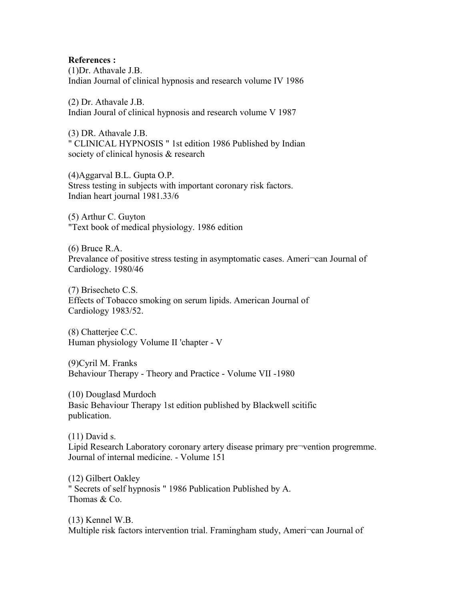**References :** (1)Dr. Athavale J.B. Indian Journal of clinical hypnosis and research volume IV 1986

(2) Dr. Athavale J.B. Indian Joural of clinical hypnosis and research volume V 1987

(3) DR. Athavale J.B. " CLINICAL HYPNOSIS " 1st edition 1986 Published by Indian society of clinical hynosis & research

(4)Aggarval B.L. Gupta O.P. Stress testing in subjects with important coronary risk factors. Indian heart journal 1981.33/6

(5) Arthur C. Guyton "Text book of medical physiology. 1986 edition

(6) Bruce R.A. Prevalance of positive stress testing in asymptomatic cases. Ameri-can Journal of Cardiology. 1980/46

(7) Brisecheto C.S. Effects of Tobacco smoking on serum lipids. American Journal of Cardiology 1983/52.

(8) Chatterjee C.C. Human physiology Volume II 'chapter - V

(9)Cyril M. Franks Behaviour Therapy - Theory and Practice - Volume VII -1980

(10) Douglasd Murdoch Basic Behaviour Therapy 1st edition published by Blackwell scitific publication.

(11) David s. Lipid Research Laboratory coronary artery disease primary pre¬vention progremme. Journal of internal medicine. - Volume 151

(12) Gilbert Oakley " Secrets of self hypnosis " 1986 Publication Published by A. Thomas & Co.

(13) Kennel W.B. Multiple risk factors intervention trial. Framingham study, Ameri¬can Journal of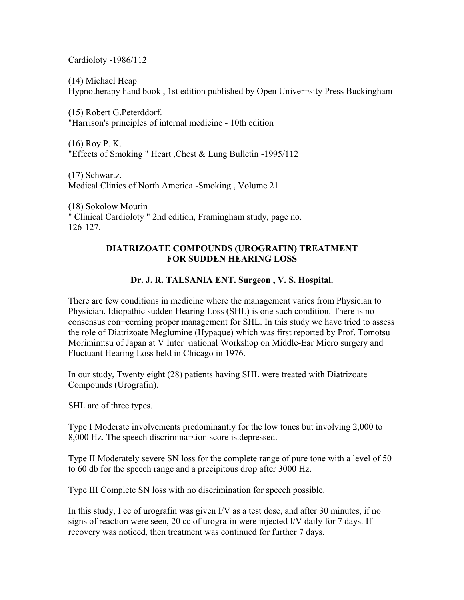Cardioloty -1986/112

(14) Michael Heap

Hypnotherapy hand book , 1st edition published by Open Univer¬sity Press Buckingham

(15) Robert G.Peterddorf. "Harrison's principles of internal medicine - 10th edition

(16) Roy P. K. "Effects of Smoking " Heart ,Chest & Lung Bulletin -1995/112

(17) Schwartz. Medical Clinics of North America -Smoking , Volume 21

(18) Sokolow Mourin " Clinical Cardioloty " 2nd edition, Framingham study, page no. 126-127.

#### **DIATRIZOATE COMPOUNDS (UROGRAFIN) TREATMENT FOR SUDDEN HEARING LOSS**

# **Dr. J. R. TALSANIA ENT. Surgeon , V. S. Hospital.**

There are few conditions in medicine where the management varies from Physician to Physician. Idiopathic sudden Hearing Loss (SHL) is one such condition. There is no consensus con¬cerning proper management for SHL. In this study we have tried to assess the role of Diatrizoate Meglumine (Hypaque) which was first reported by Prof. Tomotsu Morimimtsu of Japan at V Inter-national Workshop on Middle-Ear Micro surgery and Fluctuant Hearing Loss held in Chicago in 1976.

In our study, Twenty eight (28) patients having SHL were treated with Diatrizoate Compounds (Urografin).

SHL are of three types.

Type I Moderate involvements predominantly for the low tones but involving 2,000 to 8,000 Hz. The speech discrimina¬tion score is.depressed.

Type II Moderately severe SN loss for the complete range of pure tone with a level of 50 to 60 db for the speech range and a precipitous drop after 3000 Hz.

Type III Complete SN loss with no discrimination for speech possible.

In this study, I cc of urografin was given I/V as a test dose, and after 30 minutes, if no signs of reaction were seen, 20 cc of urografin were injected I/V daily for 7 days. If recovery was noticed, then treatment was continued for further 7 days.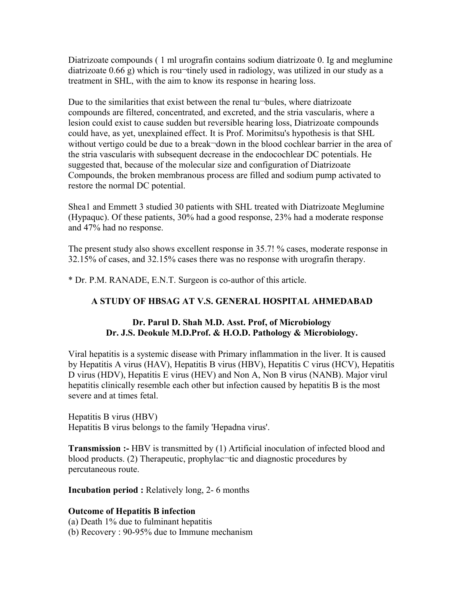Diatrizoate compounds ( 1 ml urografin contains sodium diatrizoate 0. Ig and meglumine diatrizoate  $0.66$  g) which is rou-tinely used in radiology, was utilized in our study as a treatment in SHL, with the aim to know its response in hearing loss.

Due to the similarities that exist between the renal tu-bules, where diatrizoate compounds are filtered, concentrated, and excreted, and the stria vascularis, where a lesion could exist to cause sudden but reversible hearing loss, Diatrizoate compounds could have, as yet, unexplained effect. It is Prof. Morimitsu's hypothesis is that SHL without vertigo could be due to a break-down in the blood cochlear barrier in the area of the stria vascularis with subsequent decrease in the endocochlear DC potentials. He suggested that, because of the molecular size and configuration of Diatrizoate Compounds, the broken membranous process are filled and sodium pump activated to restore the normal DC potential.

Shea1 and Emmett 3 studied 30 patients with SHL treated with Diatrizoate Meglumine (Hypaquc). Of these patients, 30% had a good response, 23% had a moderate response and 47% had no response.

The present study also shows excellent response in 35.7! % cases, moderate response in 32.15% of cases, and 32.15% cases there was no response with urografin therapy.

\* Dr. P.M. RANADE, E.N.T. Surgeon is co-author of this article.

# **A STUDY OF HBSAG AT V.S. GENERAL HOSPITAL AHMEDABAD**

#### **Dr. Parul D. Shah M.D. Asst. Prof, of Microbiology Dr. J.S. Deokule M.D.Prof. & H.O.D. Pathology & Microbiology.**

Viral hepatitis is a systemic disease with Primary inflammation in the liver. It is caused by Hepatitis A virus (HAV), Hepatitis B virus (HBV), Hepatitis C virus (HCV), Hepatitis D virus (HDV), Hepatitis E virus (HEV) and Non A, Non B virus (NANB). Major virul hepatitis clinically resemble each other but infection caused by hepatitis B is the most severe and at times fetal.

Hepatitis B virus (HBV) Hepatitis B virus belongs to the family 'Hepadna virus'.

**Transmission :-** HBV is transmitted by (1) Artificial inoculation of infected blood and blood products. (2) Therapeutic, prophylac<sup>-t</sup>tic and diagnostic procedures by percutaneous route.

**Incubation period :** Relatively long, 2- 6 months

# **Outcome of Hepatitis B infection**

(a) Death 1% due to fulminant hepatitis (b) Recovery : 90-95% due to Immune mechanism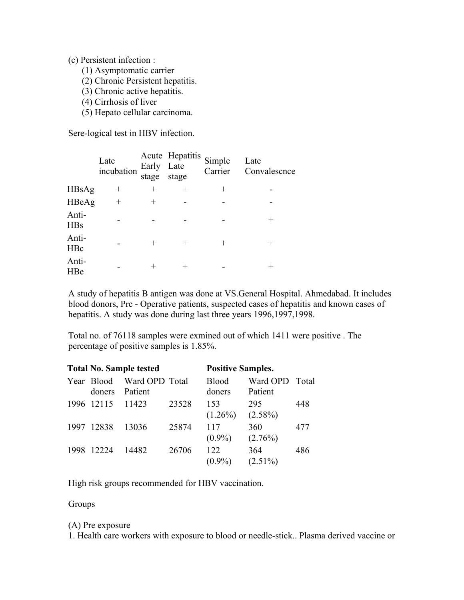#### (c) Persistent infection :

- (1) Asymptomatic carrier
- (2) Chronic Persistent hepatitis.
- (3) Chronic active hepatitis.
- (4) Cirrhosis of liver
- (5) Hepato cellular carcinoma.

Sere-logical test in HBV infection.

|                     | Late<br>incubation | Early Late<br>stage | Acute Hepatitis<br>stage | Simple<br>Carrier | Late<br>Convalescnce |
|---------------------|--------------------|---------------------|--------------------------|-------------------|----------------------|
| HBsAg               | $^+$               | $\pm$               | $\hspace{0.1mm} +$       | $^+$              |                      |
| HBeAg               | $^{+}$             | $\pm$               |                          |                   |                      |
| Anti-<br><b>HBs</b> |                    |                     |                          |                   |                      |
| Anti-<br><b>HBc</b> |                    | $^+$                | $^+$                     |                   |                      |
| Anti-<br>HBe        |                    |                     | ┿                        |                   |                      |

A study of hepatitis B antigen was done at VS.General Hospital. Ahmedabad. It includes blood donors, Prc - Operative patients, suspected cases of hepatitis and known cases of hepatitis. A study was done during last three years 1996,1997,1998.

Total no. of 76118 samples were exmined out of which 1411 were positive . The percentage of positive samples is 1.85%.

|      |                      | <b>Total No. Sample tested</b> |       | <b>Positive Samples.</b> |                           |     |
|------|----------------------|--------------------------------|-------|--------------------------|---------------------------|-----|
|      | Year Blood<br>doners | Ward OPD Total<br>Patient      |       | <b>Blood</b><br>doners   | Ward OPD Total<br>Patient |     |
|      | 1996 12115           | 11423                          | 23528 | 153<br>$(1.26\%)$        | 295<br>$(2.58\%)$         | 448 |
| 1997 | 12838                | 13036                          | 25874 | 117<br>$(0.9\%)$         | 360<br>$(2.76\%)$         | 477 |
| 1998 | 12224                | 14482                          | 26706 | 122<br>$(0.9\%)$         | 364<br>$(2.51\%)$         | 486 |

High risk groups recommended for HBV vaccination.

Groups

#### (A) Pre exposure

1. Health care workers with exposure to blood or needle-stick.. Plasma derived vaccine or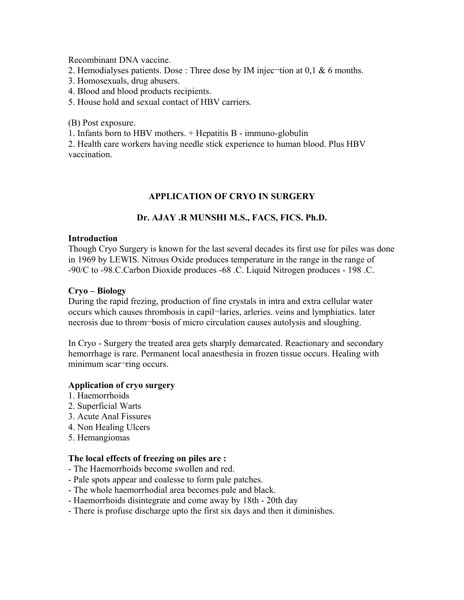Recombinant DNA vaccine.

- 2. Hemodialyses patients. Dose : Three dose by IM injec-tion at  $0,1 \& 6$  months.
- 3. Homosexuals, drug abusers.
- 4. Blood and blood products recipients.
- 5. House hold and sexual contact of HBV carriers.

(B) Post exposure.

1. Infants born to HBV mothers. + Hepatitis B - immuno-globulin

2. Health care workers having needle stick experience to human blood. Plus HBV vaccination.

#### **APPLICATION OF CRYO IN SURGERY**

#### **Dr. AJAY .R MUNSHI M.S., FACS, FICS. Ph.D.**

#### **Introduction**

Though Cryo Surgery is known for the last several decades its first use for piles was done in 1969 by LEWIS. Nitrous Oxide produces temperature in the range in the range of -90/C to -98.C.Carbon Dioxide produces -68 .C. Liquid Nitrogen produces - 198 .C.

#### **Cryo – Biology**

During the rapid frezing, production of fine crystals in intra and extra cellular water occurs which causes thrombosis in capil¬laries, arleries. veins and lymphiatics. later necrosis due to throm¬bosis of micro circulation causes autolysis and sloughing.

In Cryo - Surgery the treated area gets sharply demarcated. Reactionary and secondary hemorrhage is rare. Permanent local anaesthesia in frozen tissue occurs. Healing with minimum scar¬ring occurs.

#### **Application of cryo surgery**

- 1. Haemorrhoids
- 2. Superficial Warts
- 3. Acute Anal Fissures
- 4. Non Healing Ulcers
- 5. Hemangiomas

#### **The local effects of freezing on piles are :**

- The Haemorrhoids become swollen and red.
- Pale spots appear and coalesse to form pale patches.
- The whole haemorrhodial area becomes pale and black.
- Haemorrhoids disintegrate and come away by 18th 20th day
- There is profuse discharge upto the first six days and then it diminishes.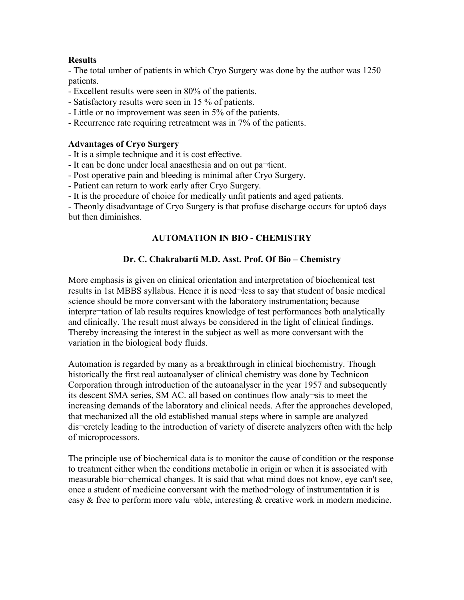#### **Results**

- The total umber of patients in which Cryo Surgery was done by the author was 1250 patients.

- Excellent results were seen in 80% of the patients.
- Satisfactory results were seen in 15 % of patients.
- Little or no improvement was seen in 5% of the patients.
- Recurrence rate requiring retreatment was in 7% of the patients.

#### **Advantages of Cryo Surgery**

- It is a simple technique and it is cost effective.
- It can be done under local anaesthesia and on out pa¬tient.
- Post operative pain and bleeding is minimal after Cryo Surgery.
- Patient can return to work early after Cryo Surgery.
- It is the procedure of choice for medically unfit patients and aged patients.

- Theonly disadvantage of Cryo Surgery is that profuse discharge occurs for upto6 days but then diminishes.

# **AUTOMATION IN BIO - CHEMISTRY**

# **Dr. C. Chakrabarti M.D. Asst. Prof. Of Bio – Chemistry**

More emphasis is given on clinical orientation and interpretation of biochemical test results in 1st MBBS syllabus. Hence it is need¬less to say that student of basic medical science should be more conversant with the laboratory instrumentation; because interpre¬tation of lab results requires knowledge of test performances both analytically and clinically. The result must always be considered in the light of clinical findings. Thereby increasing the interest in the subject as well as more conversant with the variation in the biological body fluids.

Automation is regarded by many as a breakthrough in clinical biochemistry. Though historically the first real autoanalyser of clinical chemistry was done by Technicon Corporation through introduction of the autoanalyser in the year 1957 and subsequently its descent SMA series, SM AC. all based on continues flow analy¬sis to meet the increasing demands of the laboratory and clinical needs. After the approaches developed, that mechanized all the old established manual steps where in sample are analyzed dis¬cretely leading to the introduction of variety of discrete analyzers often with the help of microprocessors.

The principle use of biochemical data is to monitor the cause of condition or the response to treatment either when the conditions metabolic in origin or when it is associated with measurable bio¬chemical changes. It is said that what mind does not know, eye can't see, once a student of medicine conversant with the method¬ology of instrumentation it is easy  $&$  free to perform more valu-able, interesting  $&$  creative work in modern medicine.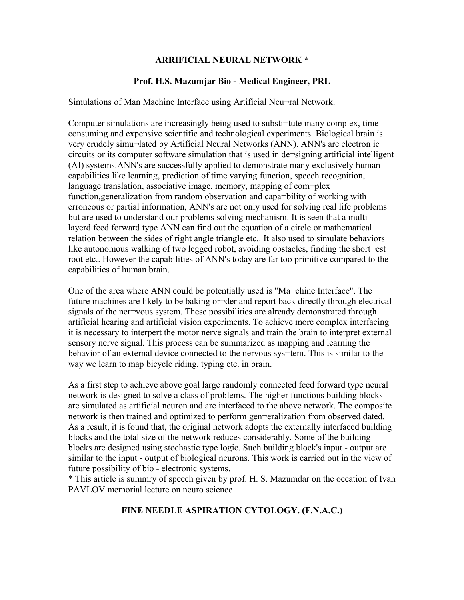#### **ARRIFICIAL NEURAL NETWORK \***

#### **Prof. H.S. Mazumjar Bio - Medical Engineer, PRL**

Simulations of Man Machine Interface using Artificial Neu¬ral Network.

Computer simulations are increasingly being used to substi¬tute many complex, time consuming and expensive scientific and technological experiments. Biological brain is very crudely simu¬lated by Artificial Neural Networks (ANN). ANN's are electron ic circuits or its computer software simulation that is used in de¬signing artificial intelligent (AI) systems.ANN's are successfully applied to demonstrate many exclusively human capabilities like learning, prediction of time varying function, speech recognition, language translation, associative image, memory, mapping of com-plex function,generalization from random observation and capa¬bility of working with erroneous or partial information, ANN's are not only used for solving real life problems but are used to understand our problems solving mechanism. It is seen that a multi layerd feed forward type ANN can find out the equation of a circle or mathematical relation between the sides of right angle triangle etc.. It also used to simulate behaviors like autonomous walking of two legged robot, avoiding obstacles, finding the short-est root etc.. However the capabilities of ANN's today are far too primitive compared to the capabilities of human brain.

One of the area where ANN could be potentially used is "Ma¬chine Interface". The future machines are likely to be baking or der and report back directly through electrical signals of the ner-vous system. These possibilities are already demonstrated through artificial hearing and artificial vision experiments. To achieve more complex interfacing it is necessary to interpert the motor nerve signals and train the brain to interpret external sensory nerve signal. This process can be summarized as mapping and learning the behavior of an external device connected to the nervous sys<sup>-tem.</sup> This is similar to the way we learn to map bicycle riding, typing etc. in brain.

As a first step to achieve above goal large randomly connected feed forward type neural network is designed to solve a class of problems. The higher functions building blocks are simulated as artificial neuron and are interfaced to the above network. The composite network is then trained and optimized to perform gen-eralization from observed dated. As a result, it is found that, the original network adopts the externally interfaced building blocks and the total size of the network reduces considerably. Some of the building blocks are designed using stochastic type logic. Such building block's input - output are similar to the input - output of biological neurons. This work is carried out in the view of future possibility of bio - electronic systems.

\* This article is summry of speech given by prof. H. S. Mazumdar on the occation of Ivan PAVLOV memorial lecture on neuro science

# **FINE NEEDLE ASPIRATION CYTOLOGY. (F.N.A.C.)**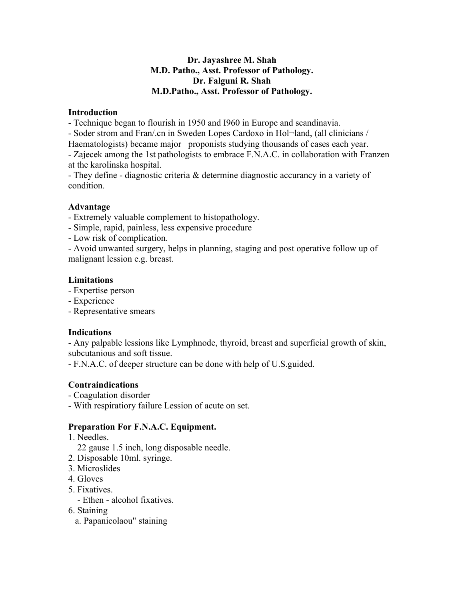# **Dr. Jayashree M. Shah M.D. Patho., Asst. Professor of Pathology. Dr. Falguni R. Shah M.D.Patho., Asst. Professor of Pathology.**

#### **Introduction**

- Technique began to flourish in 1950 and I960 in Europe and scandinavia.

- Soder strom and Fran/.cn in Sweden Lopes Cardoxo in Hol¬land, (all clinicians /

Haematologists) became major proponists studying thousands of cases each year.

- Zajecek among the 1st pathologists to embrace F.N.A.C. in collaboration with Franzen at the karolinska hospital.

- They define - diagnostic criteria & determine diagnostic accurancy in a variety of condition.

# **Advantage**

- Extremely valuable complement to histopathology.

- Simple, rapid, painless, less expensive procedure

- Low risk of complication.

- Avoid unwanted surgery, helps in planning, staging and post operative follow up of malignant lession e.g. breast.

# **Limitations**

- Expertise person

- Experience
- Representative smears

# **Indications**

- Any palpable lessions like Lymphnode, thyroid, breast and superficial growth of skin, subcutanious and soft tissue.

- F.N.A.C. of deeper structure can be done with help of U.S.guided.

# **Contraindications**

- Coagulation disorder

- With respiratiory failure Lession of acute on set.

# **Preparation For F.N.A.C. Equipment.**

1. Needles.

- 22 gause 1.5 inch, long disposable needle.
- 2. Disposable 10ml. syringe.
- 3. Microslides
- 4. Gloves
- 5. Fixatives.
	- Ethen alcohol fixatives.

# 6. Staining

a. Papanicolaou" staining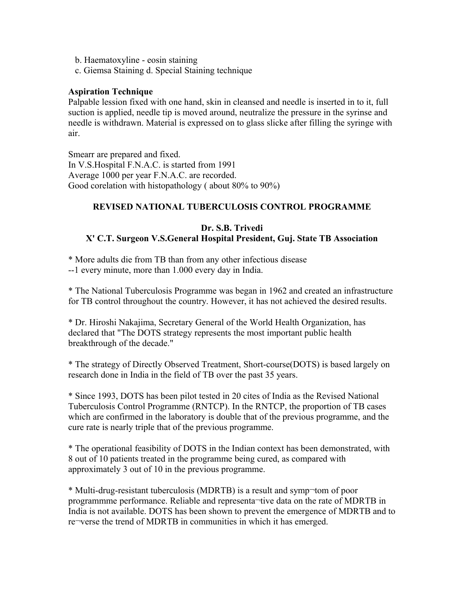- b. Haematoxyline eosin staining
- c. Giemsa Staining d. Special Staining technique

#### **Aspiration Technique**

Palpable lession fixed with one hand, skin in cleansed and needle is inserted in to it, full suction is applied, needle tip is moved around, neutralize the pressure in the syrinse and needle is withdrawn. Material is expressed on to glass slicke after filling the syringe with air.

Smearr are prepared and fixed. In V.S.Hospital F.N.A.C. is started from 1991 Average 1000 per year F.N.A.C. are recorded. Good corelation with histopathology ( about 80% to 90%)

#### **REVISED NATIONAL TUBERCULOSIS CONTROL PROGRAMME**

#### **Dr. S.B. Trivedi X' C.T. Surgeon V.S.General Hospital President, Guj. State TB Association**

\* More adults die from TB than from any other infectious disease --1 every minute, more than 1.000 every day in India.

\* The National Tuberculosis Programme was began in 1962 and created an infrastructure for TB control throughout the country. However, it has not achieved the desired results.

\* Dr. Hiroshi Nakajima, Secretary General of the World Health Organization, has declared that "The DOTS strategy represents the most important public health breakthrough of the decade."

\* The strategy of Directly Observed Treatment, Short-course(DOTS) is based largely on research done in India in the field of TB over the past 35 years.

\* Since 1993, DOTS has been pilot tested in 20 cites of India as the Revised National Tuberculosis Control Programme (RNTCP). In the RNTCP, the proportion of TB cases which are confirmed in the laboratory is double that of the previous programme, and the cure rate is nearly triple that of the previous programme.

\* The operational feasibility of DOTS in the Indian context has been demonstrated, with 8 out of 10 patients treated in the programme being cured, as compared with approximately 3 out of 10 in the previous programme.

\* Multi-drug-resistant tuberculosis (MDRTB) is a result and symp¬tom of poor programmme performance. Reliable and representa¬tive data on the rate of MDRTB in India is not available. DOTS has been shown to prevent the emergence of MDRTB and to re¬verse the trend of MDRTB in communities in which it has emerged.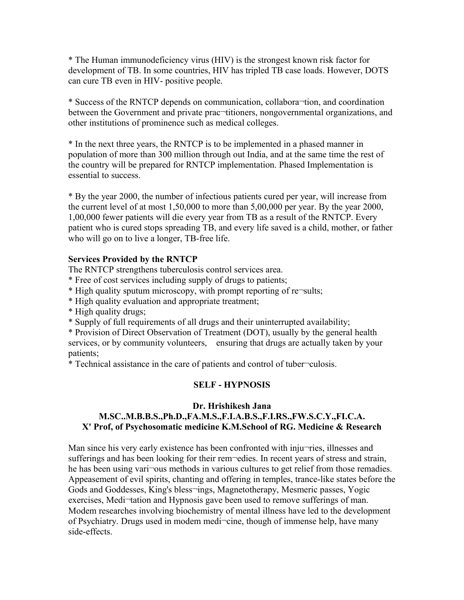\* The Human immunodeficiency virus (HIV) is the strongest known risk factor for development of TB. In some countries, HIV has tripled TB case loads. However, DOTS can cure TB even in HIV- positive people.

\* Success of the RNTCP depends on communication, collabora¬tion, and coordination between the Government and private prac-titioners, nongovernmental organizations, and other institutions of prominence such as medical colleges.

\* In the next three years, the RNTCP is to be implemented in a phased manner in population of more than 300 million through out India, and at the same time the rest of the country will be prepared for RNTCP implementation. Phased Implementation is essential to success.

\* By the year 2000, the number of infectious patients cured per year, will increase from the current level of at most 1,50,000 to more than 5,00,000 per year. By the year 2000, 1,00,000 fewer patients will die every year from TB as a result of the RNTCP. Every patient who is cured stops spreading TB, and every life saved is a child, mother, or father who will go on to live a longer, TB-free life.

#### **Services Provided by the RNTCP**

The RNTCP strengthens tuberculosis control services area.

- \* Free of cost services including supply of drugs to patients;
- \* High quality sputum microscopy, with prompt reporting of re¬sults;
- \* High quality evaluation and appropriate treatment;
- \* High quality drugs;

\* Supply of full requirements of all drugs and their uninterrupted availability;

\* Provision of Direct Observation of Treatment (DOT), usually by the general health services, or by community volunteers, ensuring that drugs are actually taken by your patients;

\* Technical assistance in the care of patients and control of tuber¬culosis.

# **SELF - HYPNOSIS**

#### **Dr. Hrishikesh Jana M.SC..M.B.B.S.,Ph.D.,FA.M.S.,F.I.A.B.S.,F.I.RS.,FW.S.C.Y.,FI.C.A. X' Prof, of Psychosomatic medicine K.M.School of RG. Medicine & Research**

Man since his very early existence has been confronted with inju-ries, illnesses and sufferings and has been looking for their rem-edies. In recent years of stress and strain, he has been using vari-ous methods in various cultures to get relief from those remadies. Appeasement of evil spirits, chanting and offering in temples, trance-like states before the Gods and Goddesses, King's bless¬ings, Magnetotherapy, Mesmeric passes, Yogic exercises, Medi-tation and Hypnosis gave been used to remove sufferings of man. Modem researches involving biochemistry of mental illness have led to the development of Psychiatry. Drugs used in modem medi¬cine, though of immense help, have many side-effects.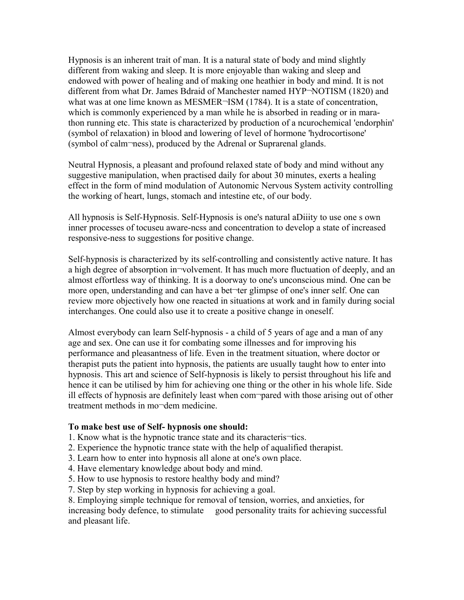Hypnosis is an inherent trait of man. It is a natural state of body and mind slightly different from waking and sleep. It is more enjoyable than waking and sleep and endowed with power of healing and of making one heathier in body and mind. It is not different from what Dr. James Bdraid of Manchester named HYP¬NOTISM (1820) and what was at one lime known as MESMER¬ISM (1784). It is a state of concentration, which is commonly experienced by a man while he is absorbed in reading or in marathon running etc. This state is characterized by production of a ncurochemical 'endorphin' (symbol of relaxation) in blood and lowering of level of hormone 'hydrocortisone' (symbol of calm¬ness), produced by the Adrenal or Suprarenal glands.

Neutral Hypnosis, a pleasant and profound relaxed state of body and mind without any suggestive manipulation, when practised daily for about 30 minutes, exerts a healing effect in the form of mind modulation of Autonomic Nervous System activity controlling the working of heart, lungs, stomach and intestine etc, of our body.

All hypnosis is Self-Hypnosis. Self-Hypnosis is one's natural aDiiity to use one s own inner processes of tocuseu aware-ncss and concentration to develop a state of increased responsive-ness to suggestions for positive change.

Self-hypnosis is characterized by its self-controlling and consistently active nature. It has a high degree of absorption in¬volvement. It has much more fluctuation of deeply, and an almost effortless way of thinking. It is a doorway to one's unconscious mind. One can be more open, understanding and can have a bet-ter glimpse of one's inner self. One can review more objectively how one reacted in situations at work and in family during social interchanges. One could also use it to create a positive change in oneself.

Almost everybody can learn Self-hypnosis - a child of 5 years of age and a man of any age and sex. One can use it for combating some illnesses and for improving his performance and pleasantness of life. Even in the treatment situation, where doctor or therapist puts the patient into hypnosis, the patients are usually taught how to enter into hypnosis. This art and science of Self-hypnosis is likely to persist throughout his life and hence it can be utilised by him for achieving one thing or the other in his whole life. Side ill effects of hypnosis are definitely least when com¬pared with those arising out of other treatment methods in mo¬dem medicine.

#### **To make best use of Self- hypnosis one should:**

- 1. Know what is the hypnotic trance state and its characteris¬tics.
- 2. Experience the hypnotic trance state with the help of aqualified therapist.
- 3. Learn how to enter into hypnosis all alone at one's own place.
- 4. Have elementary knowledge about body and mind.
- 5. How to use hypnosis to restore healthy body and mind?
- 7. Step by step working in hypnosis for achieving a goal.
- 8. Employing simple technique for removal of tension, worries, and anxieties, for

increasing body defence, to stimulate good personality traits for achieving successful and pleasant life.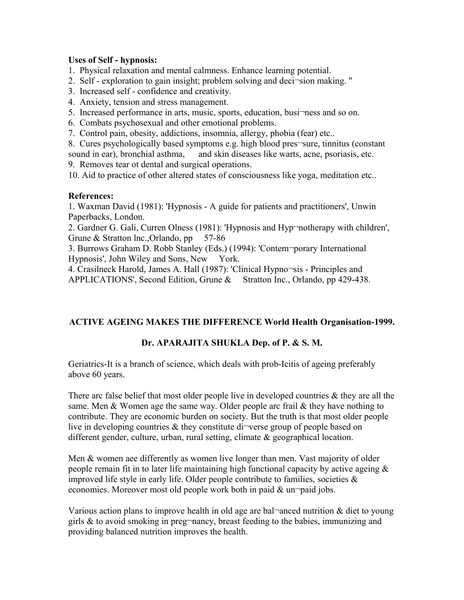#### **Uses of Self - hypnosis:**

1. Physical relaxation and mental calmness. Enhance learning potential.

- 2. Self exploration to gain insight; problem solving and deci¬sion making. ''
- 3. Increased self confidence and creativity.
- 4. Anxiety, tension and stress management.
- 5. Increased performance in arts, music, sports, education, busi-ness and so on.
- 6. Combats psychosexual and other emotional problems.
- 7. Control pain, obesity, addictions, insomnia, allergy, phobia (fear) etc..

8. Cures psychologically based symptoms e.g. high blood pres-sure, tinnitus (constant sound in ear), bronchial asthma, and skin diseases like warts, acne, psoriasis, etc. 9. Removes tear ot dental and surgical operations.

10. Aid to practice of other altered states of consciousness like yoga, meditation etc..

#### **References:**

1. Waxman David (1981): 'Hypnosis - A guide for patients and practitioners', Unwin Paperbacks, London.

2. Gardner G. Gali, Curren Olness (1981): 'Hypnosis and Hyp¬notherapy with children', Grune & Stratton lnc., Orlando, pp 57-86

3. Burrows Graham D. Robb Stanley (Eds.) (1994): 'Contem¬porary International Hypnosis', John Wiley and Sons, New York.

4. Crasilneck Harold, James A. Hall (1987): 'Clinical Hypno¬sis - Principles and APPLICATIONS', Second Edition, Grune & Stratton Inc., Orlando, pp 429-438.

# **ACTIVE AGEING MAKES THE DIFFERENCE World Health Organisation-1999.**

# **Dr. APARAJITA SHUKLA Dep. of P. & S. M.**

Geriatrics-It is a branch of science, which deals with prob-Icitis of ageing preferably above 60 years.

There arc false belief that most older people live in developed countries  $\&$  they are all the same. Men  $&$  Women age the same way. Older people arc frail  $&$  they have nothing to contribute. They are economic burden on society. But the truth is that most older people live in developing countries  $\&$  they constitute di-verse group of people based on different gender, culture, urban, rural setting, climate & geographical location.

Men & women aee differently as women live longer than men. Vast majority of older people remain fit in to later life maintaining high functional capacity by active ageing  $\&$ improved life style in early life. Older people contribute to families, societies  $\&$ economies. Moreover most old people work both in paid  $&$  un $\neg$ paid jobs.

Various action plans to improve health in old age are bal-anced nutrition  $\&$  diet to young girls  $\&$  to avoid smoking in preg-nancy, breast feeding to the babies, immunizing and providing balanced nutrition improves the health.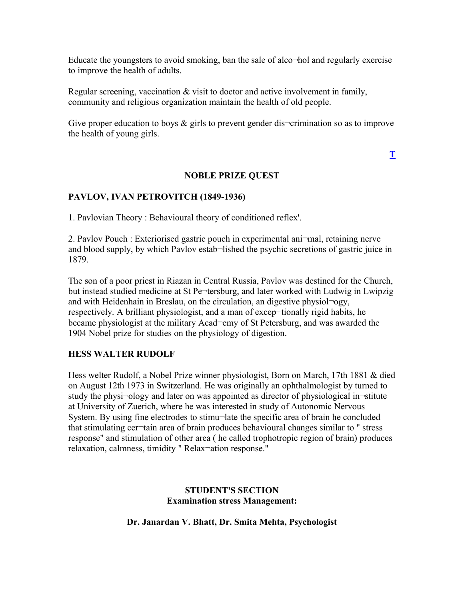Educate the youngsters to avoid smoking, ban the sale of alco¬hol and regularly exercise to improve the health of adults.

Regular screening, vaccination & visit to doctor and active involvement in family, community and religious organization maintain the health of old people.

Give proper education to boys  $\&$  girls to prevent gender dis-crimination so as to improve the health of young girls.

**[T](http://www.nhlmmc.edu.in/active-ageing.htm)**

# **NOBLE PRIZE QUEST**

# **PAVLOV, IVAN PETROVITCH (1849-1936)**

1. Pavlovian Theory : Behavioural theory of conditioned reflex'.

2. Pavlov Pouch : Exteriorised gastric pouch in experimental ani¬mal, retaining nerve and blood supply, by which Pavlov estab¬lished the psychic secretions of gastric juice in 1879.

The son of a poor priest in Riazan in Central Russia, Pavlov was destined for the Church, but instead studied medicine at St Pe¬tersburg, and later worked with Ludwig in Lwipzig and with Heidenhain in Breslau, on the circulation, an digestive physiol¬ogy, respectively. A brilliant physiologist, and a man of excep-tionally rigid habits, he became physiologist at the military Acad-emy of St Petersburg, and was awarded the 1904 Nobel prize for studies on the physiology of digestion.

# **HESS WALTER RUDOLF**

Hess welter Rudolf, a Nobel Prize winner physiologist, Born on March, 17th 1881 & died on August 12th 1973 in Switzerland. He was originally an ophthalmologist by turned to study the physi-ology and later on was appointed as director of physiological in-stitute at University of Zuerich, where he was interested in study of Autonomic Nervous System. By using fine electrodes to stimu¬late the specific area of brain he concluded that stimulating cer¬tain area of brain produces behavioural changes similar to " stress response" and stimulation of other area ( he called trophotropic region of brain) produces relaxation, calmness, timidity " Relax¬ation response."

#### **STUDENT'S SECTION Examination stress Management:**

**Dr. Janardan V. Bhatt, Dr. Smita Mehta, Psychologist**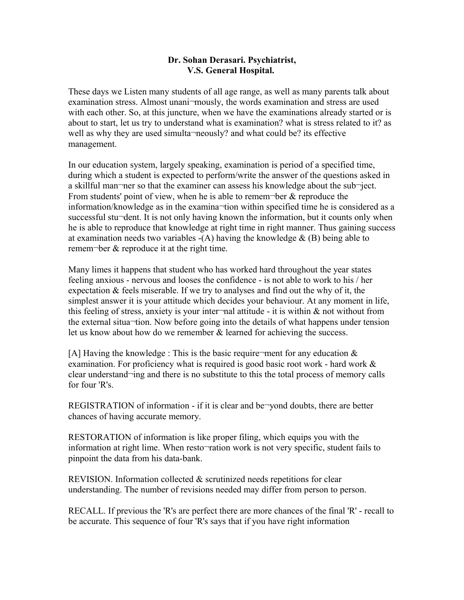#### **Dr. Sohan Derasari. Psychiatrist, V.S. General Hospital.**

These days we Listen many students of all age range, as well as many parents talk about examination stress. Almost unani¬mously, the words examination and stress are used with each other. So, at this juncture, when we have the examinations already started or is about to start, let us try to understand what is examination? what is stress related to it? as well as why they are used simulta¬neously? and what could be? its effective management.

In our education system, largely speaking, examination is period of a specified time, during which a student is expected to perform/write the answer of the questions asked in a skillful man¬ner so that the examiner can assess his knowledge about the sub¬ject. From students' point of view, when he is able to remem-ber  $\&$  reproduce the information/knowledge as in the examina¬tion within specified time he is considered as a successful stu¬dent. It is not only having known the information, but it counts only when he is able to reproduce that knowledge at right time in right manner. Thus gaining success at examination needs two variables  $-(A)$  having the knowledge  $\&(B)$  being able to remem¬ber & reproduce it at the right time.

Many limes it happens that student who has worked hard throughout the year states feeling anxious - nervous and looses the confidence - is not able to work to his / her expectation & feels miserable. If we try to analyses and find out the why of it, the simplest answer it is your attitude which decides your behaviour. At any moment in life, this feeling of stress, anxiety is your inter-nal attitude - it is within  $\&$  not without from the external situa¬tion. Now before going into the details of what happens under tension let us know about how do we remember & learned for achieving the success.

[A] Having the knowledge : This is the basic require-ment for any education  $\&$ examination. For proficiency what is required is good basic root work - hard work  $\&$ clear understand¬ing and there is no substitute to this the total process of memory calls for four 'R's.

REGISTRATION of information - if it is clear and be-yond doubts, there are better chances of having accurate memory.

RESTORATION of information is like proper filing, which equips you with the information at right lime. When resto¬ration work is not very specific, student fails to pinpoint the data from his data-bank.

REVISION. Information collected & scrutinized needs repetitions for clear understanding. The number of revisions needed may differ from person to person.

RECALL. If previous the 'R's are perfect there are more chances of the final 'R' - recall to be accurate. This sequence of four 'R's says that if you have right information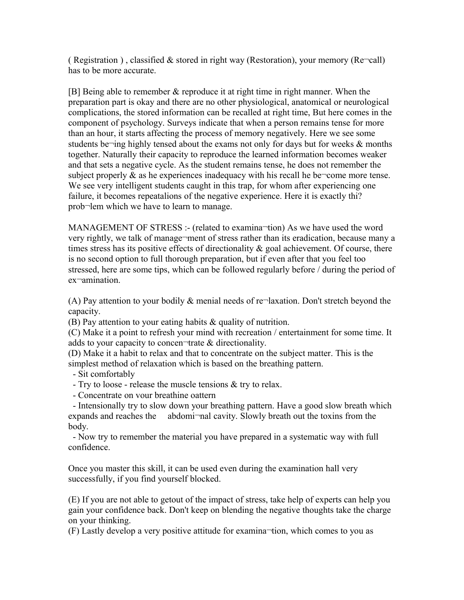( Registration ), classified  $\&$  stored in right way (Restoration), your memory (Re-call) has to be more accurate.

[B] Being able to remember & reproduce it at right time in right manner. When the preparation part is okay and there are no other physiological, anatomical or neurological complications, the stored information can be recalled at right time, But here comes in the component of psychology. Surveys indicate that when a person remains tense for more than an hour, it starts affecting the process of memory negatively. Here we see some students be $\neg$ ing highly tensed about the exams not only for days but for weeks  $\&$  months together. Naturally their capacity to reproduce the learned information becomes weaker and that sets a negative cycle. As the student remains tense, he does not remember the subject properly  $\&$  as he experiences inadequacy with his recall he be $\neg$ come more tense. We see very intelligent students caught in this trap, for whom after experiencing one failure, it becomes repeatalions of the negative experience. Here it is exactly thi? prob¬lem which we have to learn to manage.

MANAGEMENT OF STRESS :- (related to examina-tion) As we have used the word very rightly, we talk of manage¬ment of stress rather than its eradication, because many a times stress has its positive effects of directionality  $\&$  goal achievement. Of course, there is no second option to full thorough preparation, but if even after that you feel too stressed, here are some tips, which can be followed regularly before / during the period of ex¬amination.

(A) Pay attention to your bodily  $\&$  menial needs of re $\neg$ laxation. Don't stretch beyond the capacity.

(B) Pay attention to your eating habits & quality of nutrition.

(C) Make it a point to refresh your mind with recreation / entertainment for some time. It adds to your capacity to concen¬trate & directionality.

(D) Make it a habit to relax and that to concentrate on the subject matter. This is the simplest method of relaxation which is based on the breathing pattern.

- Sit comfortably

- Try to loose - release the muscle tensions & try to relax.

- Concentrate on vour breathine oattern

- Intensionally try to slow down your breathing pattern. Have a good slow breath which expands and reaches the abdomi-nal cavity. Slowly breath out the toxins from the body.

- Now try to remember the material you have prepared in a systematic way with full confidence.

Once you master this skill, it can be used even during the examination hall very successfully, if you find yourself blocked.

(E) If you are not able to getout of the impact of stress, take help of experts can help you gain your confidence back. Don't keep on blending the negative thoughts take the charge on your thinking.

(F) Lastly develop a very positive attitude for examina¬tion, which comes to you as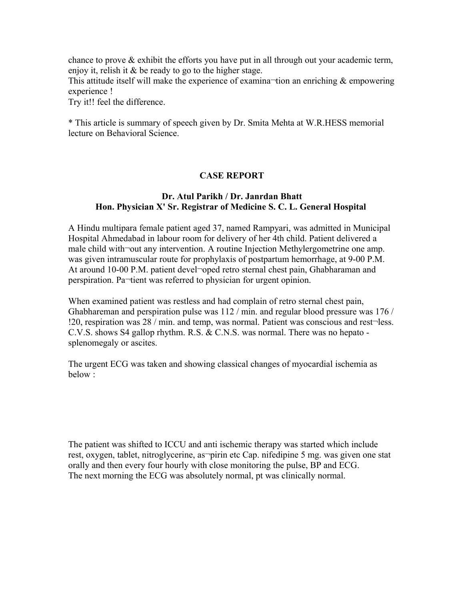chance to prove & exhibit the efforts you have put in all through out your academic term, enjoy it, relish it & be ready to go to the higher stage.

This attitude itself will make the experience of examina-tion an enriching  $\&$  empowering experience !

Try it!! feel the difference.

\* This article is summary of speech given by Dr. Smita Mehta at W.R.HESS memorial lecture on Behavioral Science.

#### **CASE REPORT**

#### **Dr. Atul Parikh / Dr. Janrdan Bhatt Hon. Physician X' Sr. Registrar of Medicine S. C. L. General Hospital**

A Hindu multipara female patient aged 37, named Rampyari, was admitted in Municipal Hospital Ahmedabad in labour room for delivery of her 4th child. Patient delivered a male child with¬out any intervention. A routine Injection Methylergometrine one amp. was given intramuscular route for prophylaxis of postpartum hemorrhage, at 9-00 P.M. At around 10-00 P.M. patient devel-oped retro sternal chest pain, Ghabharaman and perspiration. Pa¬tient was referred to physician for urgent opinion.

When examined patient was restless and had complain of retro sternal chest pain, Ghabhareman and perspiration pulse was 112 / min. and regular blood pressure was 176 / !20, respiration was 28 / min. and temp, was normal. Patient was conscious and rest¬less. C.V.S. shows S4 gallop rhythm. R.S. & C.N.S. was normal. There was no hepato splenomegaly or ascites.

The urgent ECG was taken and showing classical changes of myocardial ischemia as below :

The patient was shifted to ICCU and anti ischemic therapy was started which include rest, oxygen, tablet, nitroglycerine, as¬pirin etc Cap. nifedipine 5 mg. was given one stat orally and then every four hourly with close monitoring the pulse, BP and ECG. The next morning the ECG was absolutely normal, pt was clinically normal.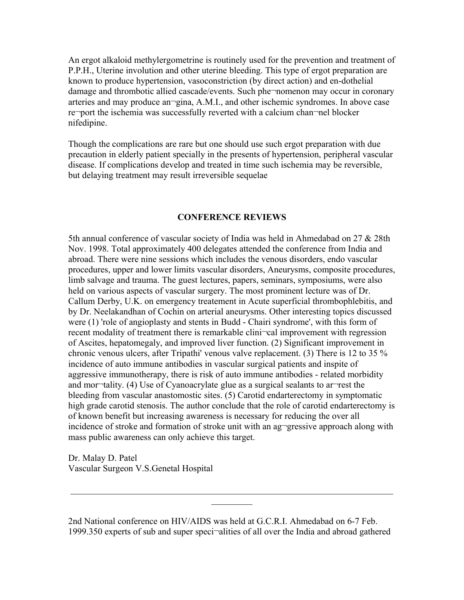An ergot alkaloid methylergometrine is routinely used for the prevention and treatment of P.P.H., Uterine involution and other uterine bleeding. This type of ergot preparation are known to produce hypertension, vasoconstriction (by direct action) and en-dothelial damage and thrombotic allied cascade/events. Such phe¬nomenon may occur in coronary arteries and may produce an¬gina, A.M.I., and other ischemic syndromes. In above case re-port the ischemia was successfully reverted with a calcium chan-nel blocker nifedipine.

Though the complications are rare but one should use such ergot preparation with due precaution in elderly patient specially in the presents of hypertension, peripheral vascular disease. If complications develop and treated in time such ischemia may be reversible, but delaying treatment may result irreversible sequelae

#### **CONFERENCE REVIEWS**

5th annual conference of vascular society of India was held in Ahmedabad on 27 & 28th Nov. 1998. Total approximately 400 delegates attended the conference from India and abroad. There were nine sessions which includes the venous disorders, endo vascular procedures, upper and lower limits vascular disorders, Aneurysms, composite procedures, limb salvage and trauma. The guest lectures, papers, seminars, symposiums, were also held on various aspects of vascular surgery. The most prominent lecture was of Dr. Callum Derby, U.K. on emergency treatement in Acute superficial thrombophlebitis, and by Dr. Neelakandhan of Cochin on arterial aneurysms. Other interesting topics discussed were (1) 'role of angioplasty and stents in Budd - Chairi syndrome', with this form of recent modality of treatment there is remarkable clini-cal improvement with regression of Ascites, hepatomegaly, and improved liver function. (2) Significant improvement in chronic venous ulcers, after Tripathi' venous valve replacement. (3) There is 12 to 35 % incidence of auto immune antibodies in vascular surgical patients and inspite of aggressive immunotherapy, there is risk of auto immune antibodies - related morbidity and mor¬tality. (4) Use of Cyanoacrylate glue as a surgical sealants to ar¬rest the bleeding from vascular anastomostic sites. (5) Carotid endarterectomy in symptomatic high grade carotid stenosis. The author conclude that the role of carotid endarterectomy is of known benefit but increasing awareness is necessary for reducing the over all incidence of stroke and formation of stroke unit with an ag-gressive approach along with mass public awareness can only achieve this target.

Dr. Malay D. Patel Vascular Surgeon V.S.Genetal Hospital

2nd National conference on HIV/AIDS was held at G.C.R.I. Ahmedabad on 6-7 Feb. 1999.350 experts of sub and super speci¬alities of all over the India and abroad gathered

 $\mathcal{L}_\text{max}$  , and the contribution of the contribution of the contribution of the contribution of the contribution of the contribution of the contribution of the contribution of the contribution of the contribution of t  $\mathcal{L}_\text{max}$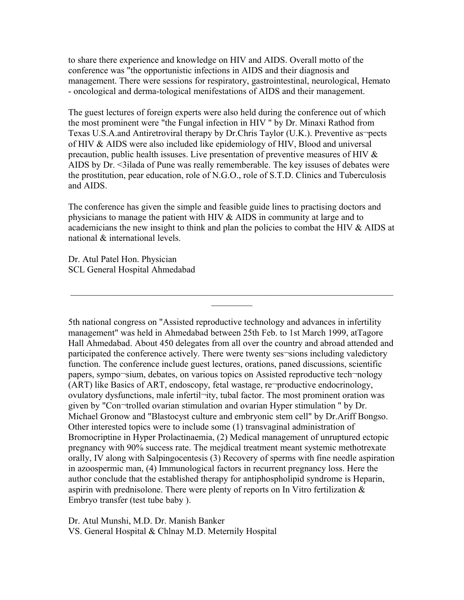to share there experience and knowledge on HIV and AIDS. Overall motto of the conference was "the opportunistic infections in AIDS and their diagnosis and management. There were sessions for respiratory, gastrointestinal, neurological, Hemato - oncological and derma-tological menifestations of AIDS and their management.

The guest lectures of foreign experts were also held during the conference out of which the most prominent were "the Fungal infection in HIV " by Dr. Minaxi Rathod from Texas U.S.A.and Antiretroviral therapy by Dr.Chris Taylor (U.K.). Preventive as pects of HIV & AIDS were also included like epidemiology of HIV, Blood and universal precaution, public health issuses. Live presentation of preventive measures of HIV  $\&$ AIDS by Dr. <3ilada of Pune was really rememberable. The key issuses of debates were the prostitution, pear education, role of N.G.O., role of S.T.D. Clinics and Tuberculosis and AIDS.

The conference has given the simple and feasible guide lines to practising doctors and physicians to manage the patient with HIV & AIDS in community at large and to academicians the new insight to think and plan the policies to combat the HIV & AIDS at national & international levels.

 $\mathcal{L}_\text{max} = \mathcal{L}_\text{max} = \mathcal{L}_\text{max} = \mathcal{L}_\text{max} = \mathcal{L}_\text{max} = \mathcal{L}_\text{max} = \mathcal{L}_\text{max} = \mathcal{L}_\text{max} = \mathcal{L}_\text{max} = \mathcal{L}_\text{max} = \mathcal{L}_\text{max} = \mathcal{L}_\text{max} = \mathcal{L}_\text{max} = \mathcal{L}_\text{max} = \mathcal{L}_\text{max} = \mathcal{L}_\text{max} = \mathcal{L}_\text{max} = \mathcal{L}_\text{max} = \mathcal{$  $\frac{1}{2}$ 

Dr. Atul Patel Hon. Physician SCL General Hospital Ahmedabad

5th national congress on "Assisted reproductive technology and advances in infertility management" was held in Ahmedabad between 25th Feb. to 1st March 1999, atTagore Hall Ahmedabad. About 450 delegates from all over the country and abroad attended and participated the conference actively. There were twenty ses-sions including valedictory function. The conference include guest lectures, orations, paned discussions, scientific papers, sympo¬sium, debates, on various topics on Assisted reproductive tech¬nology (ART) like Basics of ART, endoscopy, fetal wastage, re¬productive endocrinology, ovulatory dysfunctions, male infertil¬ity, tubal factor. The most prominent oration was given by "Con¬trolled ovarian stimulation and ovarian Hyper stimulation " by Dr. Michael Gronow and "Blastocyst culture and embryonic stem cell" by Dr.Ariff Bongso. Other interested topics were to include some (1) transvaginal administration of Bromocriptine in Hyper Prolactinaemia, (2) Medical management of unruptured ectopic pregnancy with 90% success rate. The mejdical treatment meant systemic methotrexate orally, IV along with Salpingocentesis (3) Recovery of sperms with fine needle aspiration in azoospermic man, (4) Immunological factors in recurrent pregnancy loss. Here the author conclude that the established therapy for antiphospholipid syndrome is Heparin, aspirin with prednisolone. There were plenty of reports on In Vitro fertilization & Embryo transfer (test tube baby ).

Dr. Atul Munshi, M.D. Dr. Manish Banker VS. General Hospital & Chlnay M.D. Meternily Hospital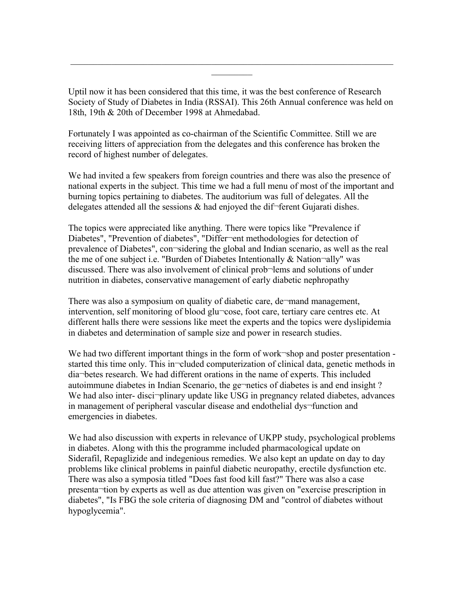Uptil now it has been considered that this time, it was the best conference of Research Society of Study of Diabetes in India (RSSAI). This 26th Annual conference was held on 18th, 19th & 20th of December 1998 at Ahmedabad.

 $\mathcal{L}_\text{max}$  , and the contribution of the contribution of the contribution of the contribution of the contribution of the contribution of the contribution of the contribution of the contribution of the contribution of t  $\mathcal{L}_\text{max}$ 

Fortunately I was appointed as co-chairman of the Scientific Committee. Still we are receiving litters of appreciation from the delegates and this conference has broken the record of highest number of delegates.

We had invited a few speakers from foreign countries and there was also the presence of national experts in the subject. This time we had a full menu of most of the important and burning topics pertaining to diabetes. The auditorium was full of delegates. All the delegates attended all the sessions  $\&$  had enjoyed the dif-ferent Gujarati dishes.

The topics were appreciated like anything. There were topics like "Prevalence if Diabetes", "Prevention of diabetes", "Differ-ent methodologies for detection of prevalence of Diabetes", con¬sidering the global and Indian scenario, as well as the real the me of one subject i.e. "Burden of Diabetes Intentionally & Nation-ally" was discussed. There was also involvement of clinical prob¬lems and solutions of under nutrition in diabetes, conservative management of early diabetic nephropathy

There was also a symposium on quality of diabetic care, de¬mand management, intervention, self monitoring of blood glu¬cose, foot care, tertiary care centres etc. At different halls there were sessions like meet the experts and the topics were dyslipidemia in diabetes and determination of sample size and power in research studies.

We had two different important things in the form of work-shop and poster presentation started this time only. This in-cluded computerization of clinical data, genetic methods in dia¬betes research. We had different orations in the name of experts. This included autoimmune diabetes in Indian Scenario, the ge¬netics of diabetes is and end insight ? We had also inter-disciplinary update like USG in pregnancy related diabetes, advances in management of peripheral vascular disease and endothelial dys-function and emergencies in diabetes.

We had also discussion with experts in relevance of UKPP study, psychological problems in diabetes. Along with this the programme included pharmacological update on Siderafil, Repaglizide and indegenious remedies. We also kept an update on day to day problems like clinical problems in painful diabetic neuropathy, erectile dysfunction etc. There was also a symposia titled "Does fast food kill fast?" There was also a case presenta¬tion by experts as well as due attention was given on "exercise prescription in diabetes", "Is FBG the sole criteria of diagnosing DM and "control of diabetes without hypoglycemia".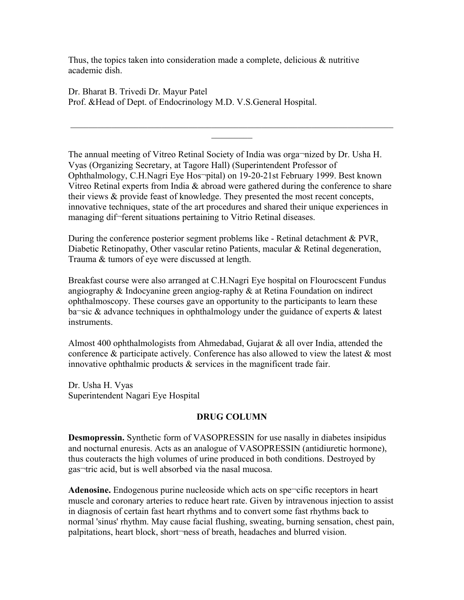Thus, the topics taken into consideration made a complete, delicious & nutritive academic dish.

Dr. Bharat B. Trivedi Dr. Mayur Patel Prof. &Head of Dept. of Endocrinology M.D. V.S.General Hospital.

The annual meeting of Vitreo Retinal Society of India was orga¬nized by Dr. Usha H. Vyas (Organizing Secretary, at Tagore Hall) (Superintendent Professor of Ophthalmology, C.H.Nagri Eye Hos¬pital) on 19-20-21st February 1999. Best known Vitreo Retinal experts from India & abroad were gathered during the conference to share their views & provide feast of knowledge. They presented the most recent concepts, innovative techniques, state of the art procedures and shared their unique experiences in managing dif¬ferent situations pertaining to Vitrio Retinal diseases.

 $\mathcal{L}_\text{max} = \mathcal{L}_\text{max} = \mathcal{L}_\text{max} = \mathcal{L}_\text{max} = \mathcal{L}_\text{max} = \mathcal{L}_\text{max} = \mathcal{L}_\text{max} = \mathcal{L}_\text{max} = \mathcal{L}_\text{max} = \mathcal{L}_\text{max} = \mathcal{L}_\text{max} = \mathcal{L}_\text{max} = \mathcal{L}_\text{max} = \mathcal{L}_\text{max} = \mathcal{L}_\text{max} = \mathcal{L}_\text{max} = \mathcal{L}_\text{max} = \mathcal{L}_\text{max} = \mathcal{$  $\mathcal{L}_\text{max}$ 

During the conference posterior segment problems like - Retinal detachment & PVR, Diabetic Retinopathy, Other vascular retino Patients, macular & Retinal degeneration, Trauma & tumors of eye were discussed at length.

Breakfast course were also arranged at C.H.Nagri Eye hospital on Flourocscent Fundus angiography & Indocyanine green angiog-raphy & at Retina Foundation on indirect ophthalmoscopy. These courses gave an opportunity to the participants to learn these ba $\sim$ sic & advance techniques in ophthalmology under the guidance of experts & latest instruments.

Almost 400 ophthalmologists from Ahmedabad, Gujarat  $\&$  all over India, attended the conference & participate actively. Conference has also allowed to view the latest & most innovative ophthalmic products & services in the magnificent trade fair.

Dr. Usha H. Vyas Superintendent Nagari Eye Hospital

# **DRUG COLUMN**

**Desmopressin.** Synthetic form of VASOPRESSIN for use nasally in diabetes insipidus and nocturnal enuresis. Acts as an analogue of VASOPRESSIN (antidiuretic hormone), thus couteracts the high volumes of urine produced in both conditions. Destroyed by gas¬tric acid, but is well absorbed via the nasal mucosa.

**Adenosine.** Endogenous purine nucleoside which acts on spe¬cific receptors in heart muscle and coronary arteries to reduce heart rate. Given by intravenous injection to assist in diagnosis of certain fast heart rhythms and to convert some fast rhythms back to normal 'sinus' rhythm. May cause facial flushing, sweating, burning sensation, chest pain, palpitations, heart block, short¬ness of breath, headaches and blurred vision.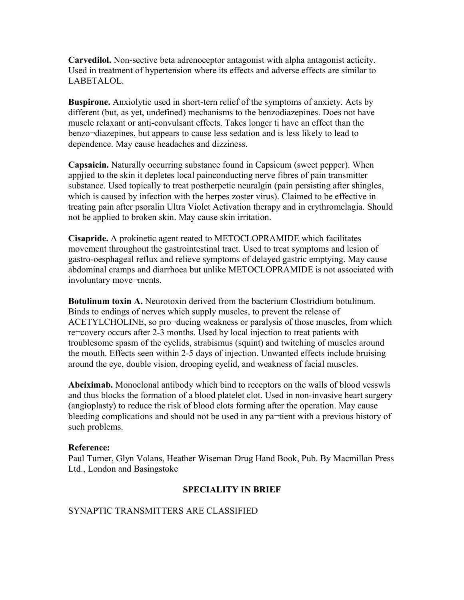**Carvedilol.** Non-sective beta adrenoceptor antagonist with alpha antagonist acticity. Used in treatment of hypertension where its effects and adverse effects are similar to LABETALOL.

**Buspirone.** Anxiolytic used in short-tern relief of the symptoms of anxiety. Acts by different (but, as yet, undefined) mechanisms to the benzodiazepines. Does not have muscle relaxant or anti-convulsant effects. Takes longer ti have an effect than the benzo¬diazepines, but appears to cause less sedation and is less likely to lead to dependence. May cause headaches and dizziness.

**Capsaicin.** Naturally occurring substance found in Capsicum (sweet pepper). When appjied to the skin it depletes local painconducting nerve fibres of pain transmitter substance. Used topically to treat postherpetic neuralgin (pain persisting after shingles, which is caused by infection with the herpes zoster virus). Claimed to be effective in treating pain after psoralin Ultra Violet Activation therapy and in erythromelagia. Should not be applied to broken skin. May cause skin irritation.

**Cisapride.** A prokinetic agent reated to METOCLOPRAMIDE which facilitates movement throughout the gastrointestinal tract. Used to treat symptoms and lesion of gastro-oesphageal reflux and relieve symptoms of delayed gastric emptying. May cause abdominal cramps and diarrhoea but unlike METOCLOPRAMIDE is not associated with involuntary move-ments.

**Botulinum toxin A.** Neurotoxin derived from the bacterium Clostridium botulinum. Binds to endings of nerves which supply muscles, to prevent the release of ACETYLCHOLINE, so pro¬ducing weakness or paralysis of those muscles, from which re¬covery occurs after 2-3 months. Used by local injection to treat patients with troublesome spasm of the eyelids, strabismus (squint) and twitching of muscles around the mouth. Effects seen within 2-5 days of injection. Unwanted effects include bruising around the eye, double vision, drooping eyelid, and weakness of facial muscles.

**Abciximab.** Monoclonal antibody which bind to receptors on the walls of blood vesswls and thus blocks the formation of a blood platelet clot. Used in non-invasive heart surgery (angioplasty) to reduce the risk of blood clots forming after the operation. May cause bleeding complications and should not be used in any pa-tient with a previous history of such problems.

#### **Reference:**

Paul Turner, Glyn Volans, Heather Wiseman Drug Hand Book, Pub. By Macmillan Press Ltd., London and Basingstoke

# **SPECIALITY IN BRIEF**

# SYNAPTIC TRANSMITTERS ARE CLASSIFIED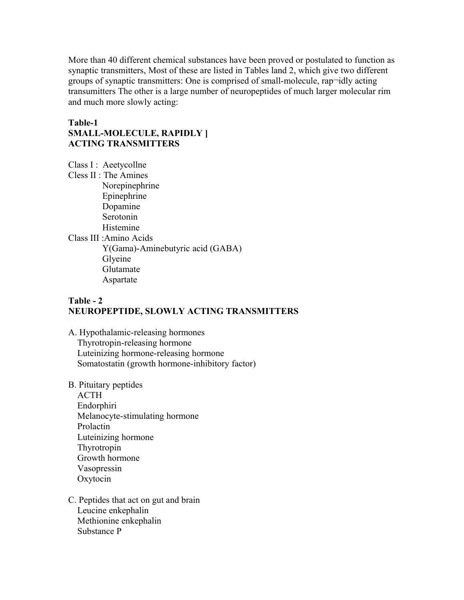More than 40 different chemical substances have been proved or postulated to function as synaptic transmitters, Most of these are listed in Tables land 2, which give two different groups of synaptic transmitters: One is comprised of small-molecule, rap¬idly acting transumitters The other is a large number of neuropeptides of much larger molecular rim and much more slowly acting:

# **Table-1 SMALL-MOLECULE, RAPIDLY ] ACTING TRANSMITTERS**

Class I : Aeetycollne

Cless II : The Amines Norepinephrine Epinephrine Dopamine Serotonin Histemine Class III :Amino Acids Y(Gama)-Aminebutyric acid (GABA) Glyeine Glutamate Aspartate

# **Table - 2 NEUROPEPTIDE, SLOWLY ACTING TRANSMITTERS**

- A. Hypothalamic-releasing hormones Thyrotropin-releasing hormone Luteinizing hormone-releasing hormone Somatostatin (growth hormone-inhibitory factor)
- B. Pituitary peptides ACTH Endorphiri Melanocyte-stimulating hormone Prolactin Luteinizing hormone Thyrotropin Growth hormone Vasopressin Oxytocin
- C. Peptides that act on gut and brain Leucine enkephalin Methionine enkephalin Substance P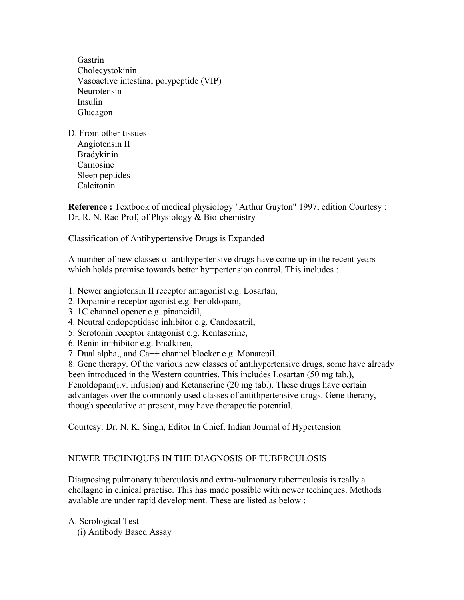Gastrin Cholecystokinin Vasoactive intestinal polypeptide (VIP) Neurotensin Insulin Glucagon

D. From other tissues Angiotensin II Bradykinin Carnosine Sleep peptides Calcitonin

**Reference :** Textbook of medical physiology "Arthur Guyton" 1997, edition Courtesy : Dr. R. N. Rao Prof, of Physiology & Bio-chemistry

Classification of Antihypertensive Drugs is Expanded

A number of new classes of antihypertensive drugs have come up in the recent years which holds promise towards better hy pertension control. This includes :

- 1. Newer angiotensin II receptor antagonist e.g. Losartan,
- 2. Dopamine receptor agonist e.g. Fenoldopam,
- 3. 1C channel opener e.g. pinancidil,
- 4. Neutral endopeptidase inhibitor e.g. Candoxatril,
- 5. Serotonin receptor antagonist e.g. Kentaserine,
- 6. Renin in¬hibitor e.g. Enalkiren,
- 7. Dual alpha,, and Ca++ channel blocker e.g. Monatepil.

8. Gene therapy. Of the various new classes of antihypertensive drugs, some have already been introduced in the Western countries. This includes Losartan (50 mg tab.), Fenoldopam(i.v. infusion) and Ketanserine (20 mg tab.). These drugs have certain advantages over the commonly used classes of antithpertensive drugs. Gene therapy, though speculative at present, may have therapeutic potential.

Courtesy: Dr. N. K. Singh, Editor In Chief, Indian Journal of Hypertension

#### NEWER TECHNIQUES IN THE DIAGNOSIS OF TUBERCULOSIS

Diagnosing pulmonary tuberculosis and extra-pulmonary tuber¬culosis is really a chellagne in clinical practise. This has made possible with newer techinques. Methods avalable are under rapid development. These are listed as below :

A. Scrological Test (i) Antibody Based Assay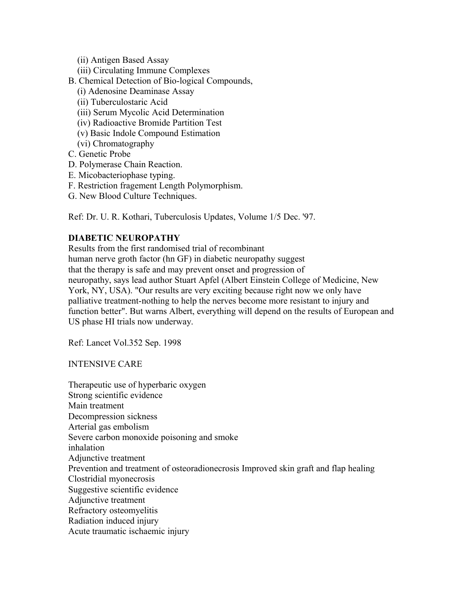- (ii) Antigen Based Assay
- (iii) Circulating Immune Complexes
- B. Chemical Detection of Bio-logical Compounds,
	- (i) Adenosine Deaminase Assay
	- (ii) Tuberculostaric Acid
	- (iii) Serum Mycolic Acid Determination
	- (iv) Radioactive Bromide Partition Test
	- (v) Basic Indole Compound Estimation
	- (vi) Chromatography
- C. Genetic Probe
- D. Polymerase Chain Reaction.
- E. Micobacteriophase typing.
- F. Restriction fragement Length Polymorphism.
- G. New Blood Culture Techniques.

Ref: Dr. U. R. Kothari, Tuberculosis Updates, Volume 1/5 Dec. '97.

# **DIABETIC NEUROPATHY**

Results from the first randomised trial of recombinant human nerve groth factor (hn GF) in diabetic neuropathy suggest that the therapy is safe and may prevent onset and progression of neuropathy, says lead author Stuart Apfel (Albert Einstein College of Medicine, New York, NY, USA). "Our results are very exciting because right now we only have palliative treatment-nothing to help the nerves become more resistant to injury and function better". But warns Albert, everything will depend on the results of European and US phase HI trials now underway.

Ref: Lancet Vol.352 Sep. 1998

INTENSIVE CARE

Therapeutic use of hyperbaric oxygen Strong scientific evidence Main treatment Decompression sickness Arterial gas embolism Severe carbon monoxide poisoning and smoke inhalation Adjunctive treatment Prevention and treatment of osteoradionecrosis Improved skin graft and flap healing Clostridial myonecrosis Suggestive scientific evidence Adjunctive treatment Refractory osteomyelitis Radiation induced injury Acute traumatic ischaemic injury